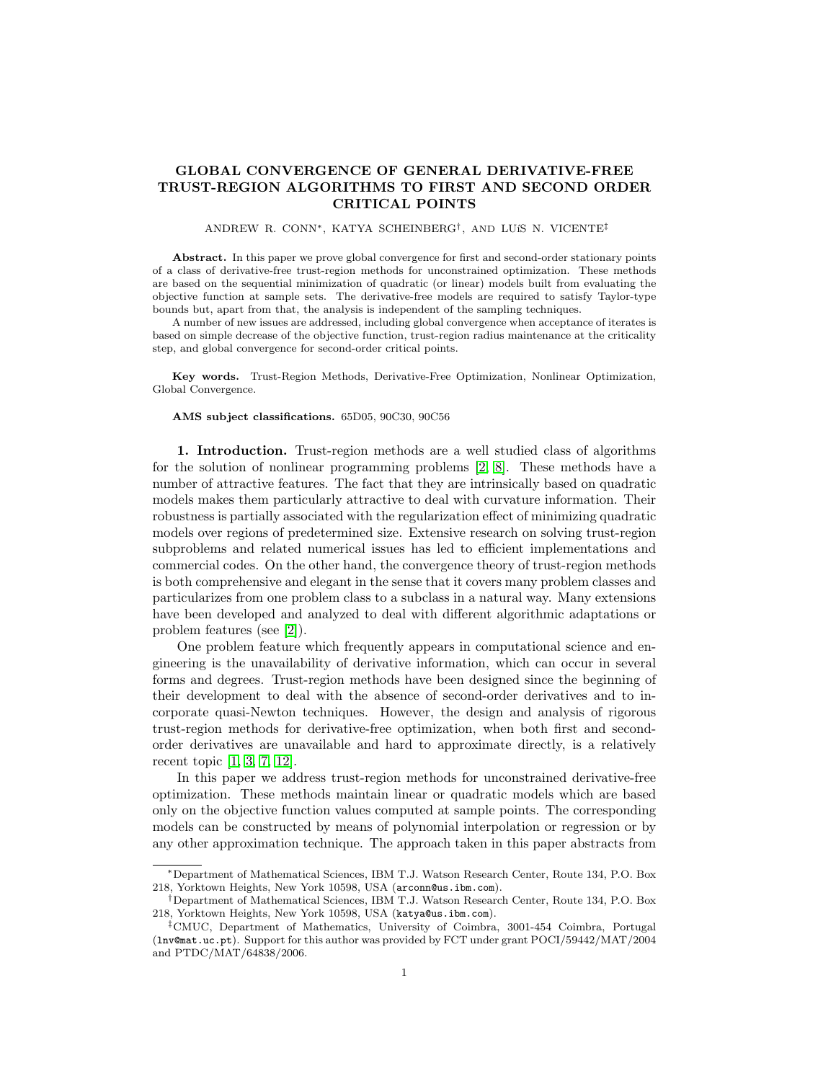# GLOBAL CONVERGENCE OF GENERAL DERIVATIVE-FREE TRUST-REGION ALGORITHMS TO FIRST AND SECOND ORDER CRITICAL POINTS

#### ANDREW R. CONN\*, KATYA SCHEINBERG<sup>†</sup>, AND LUíS N. VICENTE<sup>‡</sup>

Abstract. In this paper we prove global convergence for first and second-order stationary points of a class of derivative-free trust-region methods for unconstrained optimization. These methods are based on the sequential minimization of quadratic (or linear) models built from evaluating the objective function at sample sets. The derivative-free models are required to satisfy Taylor-type bounds but, apart from that, the analysis is independent of the sampling techniques.

A number of new issues are addressed, including global convergence when acceptance of iterates is based on simple decrease of the objective function, trust-region radius maintenance at the criticality step, and global convergence for second-order critical points.

Key words. Trust-Region Methods, Derivative-Free Optimization, Nonlinear Optimization, Global Convergence.

#### AMS subject classifications. 65D05, 90C30, 90C56

1. Introduction. Trust-region methods are a well studied class of algorithms for the solution of nonlinear programming problems [\[2,](#page-28-0) [8\]](#page-28-1). These methods have a number of attractive features. The fact that they are intrinsically based on quadratic models makes them particularly attractive to deal with curvature information. Their robustness is partially associated with the regularization effect of minimizing quadratic models over regions of predetermined size. Extensive research on solving trust-region subproblems and related numerical issues has led to efficient implementations and commercial codes. On the other hand, the convergence theory of trust-region methods is both comprehensive and elegant in the sense that it covers many problem classes and particularizes from one problem class to a subclass in a natural way. Many extensions have been developed and analyzed to deal with different algorithmic adaptations or problem features (see [\[2\]](#page-28-0)).

One problem feature which frequently appears in computational science and engineering is the unavailability of derivative information, which can occur in several forms and degrees. Trust-region methods have been designed since the beginning of their development to deal with the absence of second-order derivatives and to incorporate quasi-Newton techniques. However, the design and analysis of rigorous trust-region methods for derivative-free optimization, when both first and secondorder derivatives are unavailable and hard to approximate directly, is a relatively recent topic [\[1,](#page-28-2) [3,](#page-28-3) [7,](#page-28-4) [12\]](#page-28-5).

In this paper we address trust-region methods for unconstrained derivative-free optimization. These methods maintain linear or quadratic models which are based only on the objective function values computed at sample points. The corresponding models can be constructed by means of polynomial interpolation or regression or by any other approximation technique. The approach taken in this paper abstracts from

<sup>∗</sup>Department of Mathematical Sciences, IBM T.J. Watson Research Center, Route 134, P.O. Box 218, Yorktown Heights, New York 10598, USA (arconn@us.ibm.com).

<sup>†</sup>Department of Mathematical Sciences, IBM T.J. Watson Research Center, Route 134, P.O. Box 218, Yorktown Heights, New York 10598, USA (katya@us.ibm.com).

<sup>‡</sup>CMUC, Department of Mathematics, University of Coimbra, 3001-454 Coimbra, Portugal (lnv@mat.uc.pt). Support for this author was provided by FCT under grant POCI/59442/MAT/2004 and PTDC/MAT/64838/2006.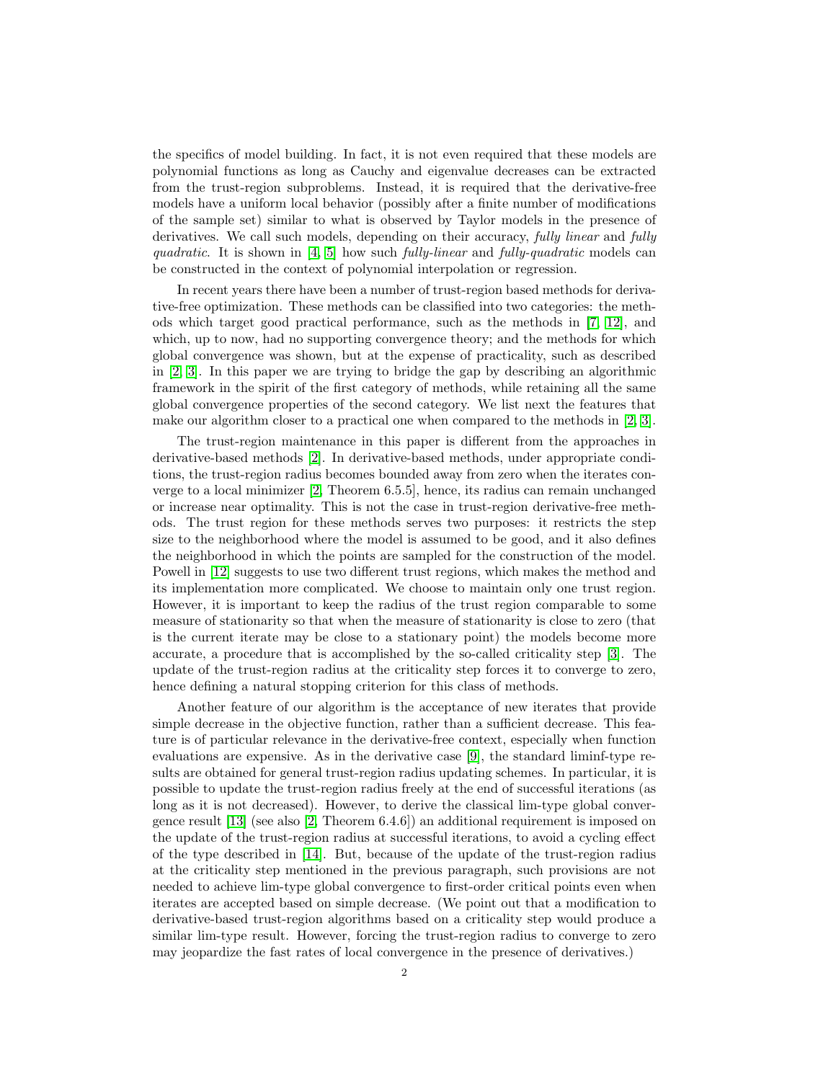the specifics of model building. In fact, it is not even required that these models are polynomial functions as long as Cauchy and eigenvalue decreases can be extracted from the trust-region subproblems. Instead, it is required that the derivative-free models have a uniform local behavior (possibly after a finite number of modifications of the sample set) similar to what is observed by Taylor models in the presence of derivatives. We call such models, depending on their accuracy, fully linear and fully quadratic. It is shown in [\[4,](#page-28-6) [5\]](#page-28-7) how such fully-linear and fully-quadratic models can be constructed in the context of polynomial interpolation or regression.

In recent years there have been a number of trust-region based methods for derivative-free optimization. These methods can be classified into two categories: the methods which target good practical performance, such as the methods in [\[7,](#page-28-4) [12\]](#page-28-5), and which, up to now, had no supporting convergence theory; and the methods for which global convergence was shown, but at the expense of practicality, such as described in [\[2,](#page-28-0) [3\]](#page-28-3). In this paper we are trying to bridge the gap by describing an algorithmic framework in the spirit of the first category of methods, while retaining all the same global convergence properties of the second category. We list next the features that make our algorithm closer to a practical one when compared to the methods in [\[2,](#page-28-0) [3\]](#page-28-3).

The trust-region maintenance in this paper is different from the approaches in derivative-based methods [\[2\]](#page-28-0). In derivative-based methods, under appropriate conditions, the trust-region radius becomes bounded away from zero when the iterates converge to a local minimizer [\[2,](#page-28-0) Theorem 6.5.5], hence, its radius can remain unchanged or increase near optimality. This is not the case in trust-region derivative-free methods. The trust region for these methods serves two purposes: it restricts the step size to the neighborhood where the model is assumed to be good, and it also defines the neighborhood in which the points are sampled for the construction of the model. Powell in [\[12\]](#page-28-5) suggests to use two different trust regions, which makes the method and its implementation more complicated. We choose to maintain only one trust region. However, it is important to keep the radius of the trust region comparable to some measure of stationarity so that when the measure of stationarity is close to zero (that is the current iterate may be close to a stationary point) the models become more accurate, a procedure that is accomplished by the so-called criticality step [\[3\]](#page-28-3). The update of the trust-region radius at the criticality step forces it to converge to zero, hence defining a natural stopping criterion for this class of methods.

Another feature of our algorithm is the acceptance of new iterates that provide simple decrease in the objective function, rather than a sufficient decrease. This feature is of particular relevance in the derivative-free context, especially when function evaluations are expensive. As in the derivative case [\[9\]](#page-28-8), the standard liminf-type results are obtained for general trust-region radius updating schemes. In particular, it is possible to update the trust-region radius freely at the end of successful iterations (as long as it is not decreased). However, to derive the classical lim-type global convergence result  $[13]$  (see also  $[2,$  Theorem  $6.4.6]$ ) an additional requirement is imposed on the update of the trust-region radius at successful iterations, to avoid a cycling effect of the type described in [\[14\]](#page-28-10). But, because of the update of the trust-region radius at the criticality step mentioned in the previous paragraph, such provisions are not needed to achieve lim-type global convergence to first-order critical points even when iterates are accepted based on simple decrease. (We point out that a modification to derivative-based trust-region algorithms based on a criticality step would produce a similar lim-type result. However, forcing the trust-region radius to converge to zero may jeopardize the fast rates of local convergence in the presence of derivatives.)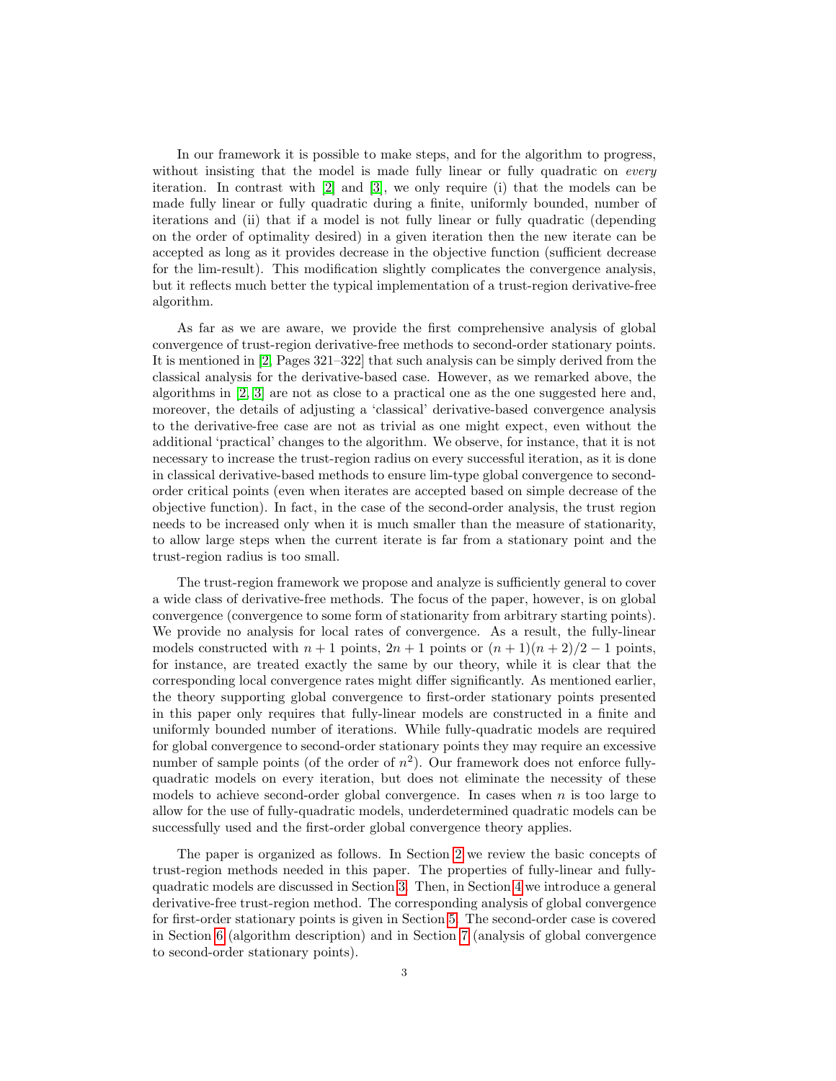In our framework it is possible to make steps, and for the algorithm to progress, without insisting that the model is made fully linear or fully quadratic on *every* iteration. In contrast with [\[2\]](#page-28-0) and [\[3\]](#page-28-3), we only require (i) that the models can be made fully linear or fully quadratic during a finite, uniformly bounded, number of iterations and (ii) that if a model is not fully linear or fully quadratic (depending on the order of optimality desired) in a given iteration then the new iterate can be accepted as long as it provides decrease in the objective function (sufficient decrease for the lim-result). This modification slightly complicates the convergence analysis, but it reflects much better the typical implementation of a trust-region derivative-free algorithm.

As far as we are aware, we provide the first comprehensive analysis of global convergence of trust-region derivative-free methods to second-order stationary points. It is mentioned in [\[2,](#page-28-0) Pages 321–322] that such analysis can be simply derived from the classical analysis for the derivative-based case. However, as we remarked above, the algorithms in [\[2,](#page-28-0) [3\]](#page-28-3) are not as close to a practical one as the one suggested here and, moreover, the details of adjusting a 'classical' derivative-based convergence analysis to the derivative-free case are not as trivial as one might expect, even without the additional 'practical' changes to the algorithm. We observe, for instance, that it is not necessary to increase the trust-region radius on every successful iteration, as it is done in classical derivative-based methods to ensure lim-type global convergence to secondorder critical points (even when iterates are accepted based on simple decrease of the objective function). In fact, in the case of the second-order analysis, the trust region needs to be increased only when it is much smaller than the measure of stationarity, to allow large steps when the current iterate is far from a stationary point and the trust-region radius is too small.

The trust-region framework we propose and analyze is sufficiently general to cover a wide class of derivative-free methods. The focus of the paper, however, is on global convergence (convergence to some form of stationarity from arbitrary starting points). We provide no analysis for local rates of convergence. As a result, the fully-linear models constructed with  $n + 1$  points,  $2n + 1$  points or  $(n + 1)(n + 2)/2 - 1$  points, for instance, are treated exactly the same by our theory, while it is clear that the corresponding local convergence rates might differ significantly. As mentioned earlier, the theory supporting global convergence to first-order stationary points presented in this paper only requires that fully-linear models are constructed in a finite and uniformly bounded number of iterations. While fully-quadratic models are required for global convergence to second-order stationary points they may require an excessive number of sample points (of the order of  $n^2$ ). Our framework does not enforce fullyquadratic models on every iteration, but does not eliminate the necessity of these models to achieve second-order global convergence. In cases when  $n$  is too large to allow for the use of fully-quadratic models, underdetermined quadratic models can be successfully used and the first-order global convergence theory applies.

The paper is organized as follows. In Section [2](#page-3-0) we review the basic concepts of trust-region methods needed in this paper. The properties of fully-linear and fullyquadratic models are discussed in Section [3.](#page-5-0) Then, in Section [4](#page-12-0) we introduce a general derivative-free trust-region method. The corresponding analysis of global convergence for first-order stationary points is given in Section [5.](#page-14-0) The second-order case is covered in Section [6](#page-20-0) (algorithm description) and in Section [7](#page-22-0) (analysis of global convergence to second-order stationary points).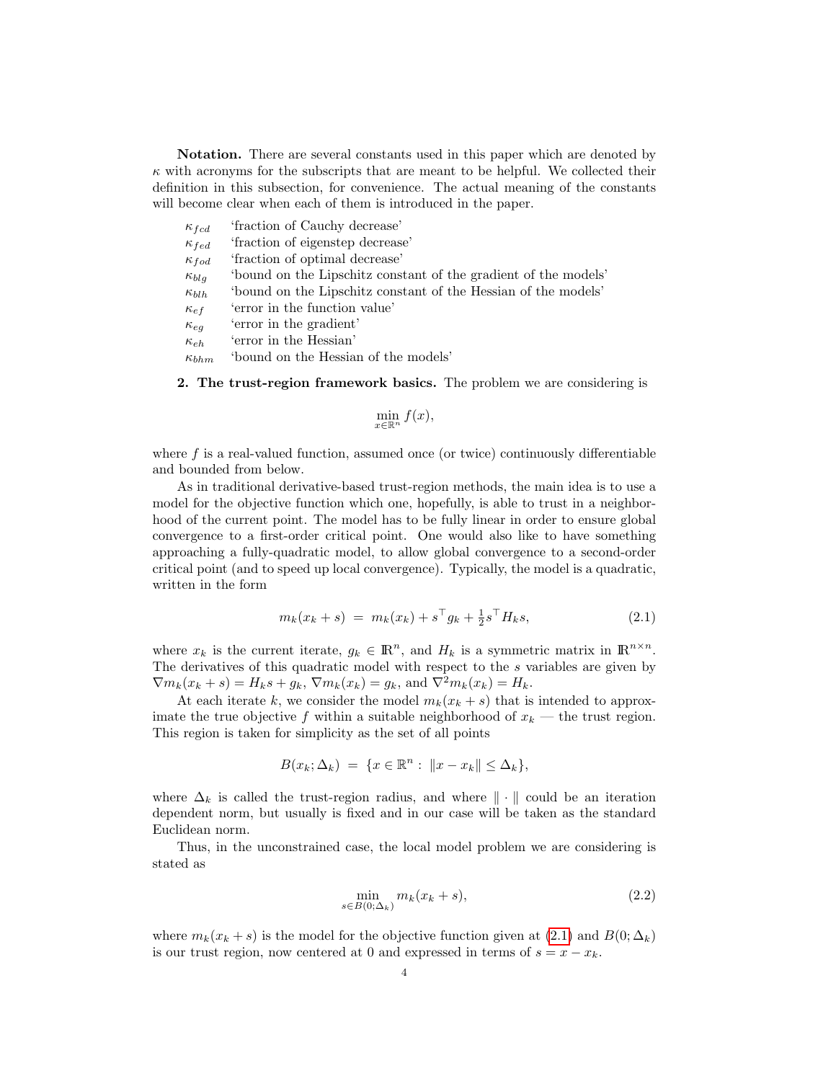Notation. There are several constants used in this paper which are denoted by  $\kappa$  with acronyms for the subscripts that are meant to be helpful. We collected their definition in this subsection, for convenience. The actual meaning of the constants will become clear when each of them is introduced in the paper.

| $\kappa_{fcd}$ | 'fraction of Cauchy decrease'                                   |
|----------------|-----------------------------------------------------------------|
| $\kappa_{fed}$ | 'fraction of eigenstep decrease'                                |
| $\kappa_{fod}$ | 'fraction of optimal decrease'                                  |
| $\kappa_{blq}$ | 'bound on the Lipschitz constant of the gradient of the models' |
| $\kappa_{blh}$ | 'bound on the Lipschitz constant of the Hessian of the models'  |
| $\kappa_{e f}$ | 'error in the function value'                                   |
| $\kappa_{eq}$  | 'error in the gradient'                                         |
| $\kappa_{eh}$  | 'error in the Hessian'                                          |
| $\kappa_{bhm}$ | 'bound on the Hessian of the models'                            |

<span id="page-3-0"></span>2. The trust-region framework basics. The problem we are considering is

$$
\min_{x \in \mathbb{R}^n} f(x),
$$

where  $f$  is a real-valued function, assumed once (or twice) continuously differentiable and bounded from below.

As in traditional derivative-based trust-region methods, the main idea is to use a model for the objective function which one, hopefully, is able to trust in a neighborhood of the current point. The model has to be fully linear in order to ensure global convergence to a first-order critical point. One would also like to have something approaching a fully-quadratic model, to allow global convergence to a second-order critical point (and to speed up local convergence). Typically, the model is a quadratic, written in the form

<span id="page-3-1"></span>
$$
m_k(x_k + s) = m_k(x_k) + s^{\top} g_k + \frac{1}{2} s^{\top} H_k s, \qquad (2.1)
$$

where  $x_k$  is the current iterate,  $g_k \in \mathbb{R}^n$ , and  $H_k$  is a symmetric matrix in  $\mathbb{R}^{n \times n}$ . The derivatives of this quadratic model with respect to the s variables are given by  $\nabla m_k(x_k + s) = H_ks + g_k$ ,  $\nabla m_k(x_k) = g_k$ , and  $\nabla^2 m_k(x_k) = H_k$ .

At each iterate k, we consider the model  $m_k(x_k + s)$  that is intended to approximate the true objective f within a suitable neighborhood of  $x_k$  — the trust region. This region is taken for simplicity as the set of all points

$$
B(x_k; \Delta_k) = \{ x \in \mathbb{R}^n : ||x - x_k|| \le \Delta_k \},
$$

where  $\Delta_k$  is called the trust-region radius, and where  $\|\cdot\|$  could be an iteration dependent norm, but usually is fixed and in our case will be taken as the standard Euclidean norm.

<span id="page-3-2"></span>Thus, in the unconstrained case, the local model problem we are considering is stated as

$$
\min_{s \in B(0;\Delta_k)} m_k(x_k + s),\tag{2.2}
$$

where  $m_k(x_k + s)$  is the model for the objective function given at [\(2.1\)](#page-3-1) and  $B(0; \Delta_k)$ is our trust region, now centered at 0 and expressed in terms of  $s = x - x_k$ .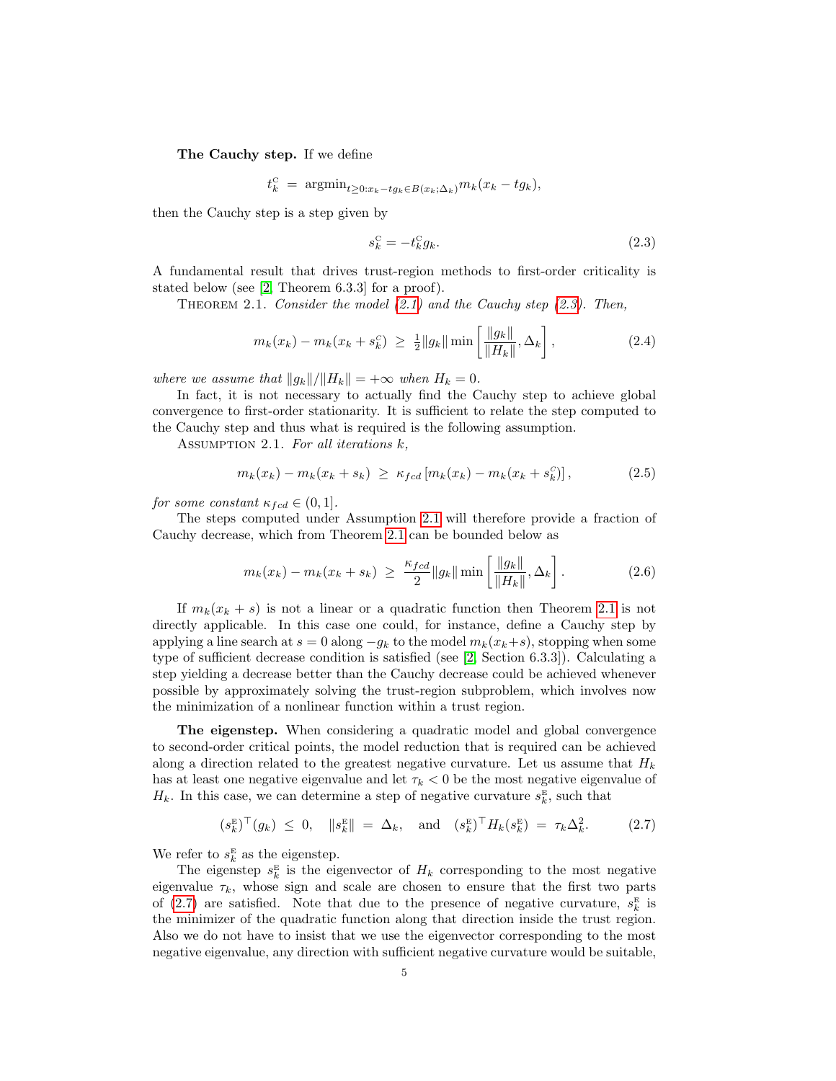The Cauchy step. If we define

$$
t_k^C = \operatorname{argmin}_{t \geq 0: x_k - t g_k \in B(x_k; \Delta_k)} m_k(x_k - t g_k),
$$

then the Cauchy step is a step given by

<span id="page-4-4"></span><span id="page-4-0"></span>
$$
s_k^{\mathcal{C}} = -t_k^{\mathcal{C}} g_k. \tag{2.3}
$$

A fundamental result that drives trust-region methods to first-order criticality is stated below (see [\[2,](#page-28-0) Theorem 6.3.3] for a proof).

<span id="page-4-2"></span>THEOREM 2.1. Consider the model  $(2.1)$  and the Cauchy step  $(2.3)$ . Then,

$$
m_k(x_k) - m_k(x_k + s_k^C) \ge \frac{1}{2} \|g_k\| \min\left[\frac{\|g_k\|}{\|H_k\|}, \Delta_k\right],
$$
 (2.4)

where we assume that  $||g_k||/||H_k|| = +\infty$  when  $H_k = 0$ .

In fact, it is not necessary to actually find the Cauchy step to achieve global convergence to first-order stationarity. It is sufficient to relate the step computed to the Cauchy step and thus what is required is the following assumption.

<span id="page-4-1"></span>ASSUMPTION 2.1. For all iterations  $k$ ,

<span id="page-4-5"></span>
$$
m_k(x_k) - m_k(x_k + s_k) \ge \kappa_{fcd} [m_k(x_k) - m_k(x_k + s_k^c)], \qquad (2.5)
$$

for some constant  $\kappa_{fcd} \in (0,1]$ .

The steps computed under Assumption [2.1](#page-4-1) will therefore provide a fraction of Cauchy decrease, which from Theorem [2.1](#page-4-2) can be bounded below as

<span id="page-4-6"></span>
$$
m_k(x_k) - m_k(x_k + s_k) \ge \frac{\kappa_{fcd}}{2} \|g_k\| \min\left[\frac{\|g_k\|}{\|H_k\|}, \Delta_k\right].
$$
 (2.6)

If  $m_k(x_k + s)$  is not a linear or a quadratic function then Theorem [2.1](#page-4-2) is not directly applicable. In this case one could, for instance, define a Cauchy step by applying a line search at  $s = 0$  along  $-g_k$  to the model  $m_k(x_k+s)$ , stopping when some type of sufficient decrease condition is satisfied (see [\[2,](#page-28-0) Section 6.3.3]). Calculating a step yielding a decrease better than the Cauchy decrease could be achieved whenever possible by approximately solving the trust-region subproblem, which involves now the minimization of a nonlinear function within a trust region.

The eigenstep. When considering a quadratic model and global convergence to second-order critical points, the model reduction that is required can be achieved along a direction related to the greatest negative curvature. Let us assume that  $H_k$ has at least one negative eigenvalue and let  $\tau_k < 0$  be the most negative eigenvalue of  $H_k$ . In this case, we can determine a step of negative curvature  $s_k^E$ , such that

<span id="page-4-3"></span>
$$
(s_k^{\mathbf{E}})^{\top}(g_k) \leq 0, \quad \|s_k^{\mathbf{E}}\| = \Delta_k, \quad \text{and} \quad (s_k^{\mathbf{E}})^{\top} H_k(s_k^{\mathbf{E}}) = \tau_k \Delta_k^2. \tag{2.7}
$$

We refer to  $s_k^E$  as the eigenstep.

The eigenstep  $s_k^E$  is the eigenvector of  $H_k$  corresponding to the most negative eigenvalue  $\tau_k$ , whose sign and scale are chosen to ensure that the first two parts of [\(2.7\)](#page-4-3) are satisfied. Note that due to the presence of negative curvature,  $s_k^E$  is the minimizer of the quadratic function along that direction inside the trust region. Also we do not have to insist that we use the eigenvector corresponding to the most negative eigenvalue, any direction with sufficient negative curvature would be suitable,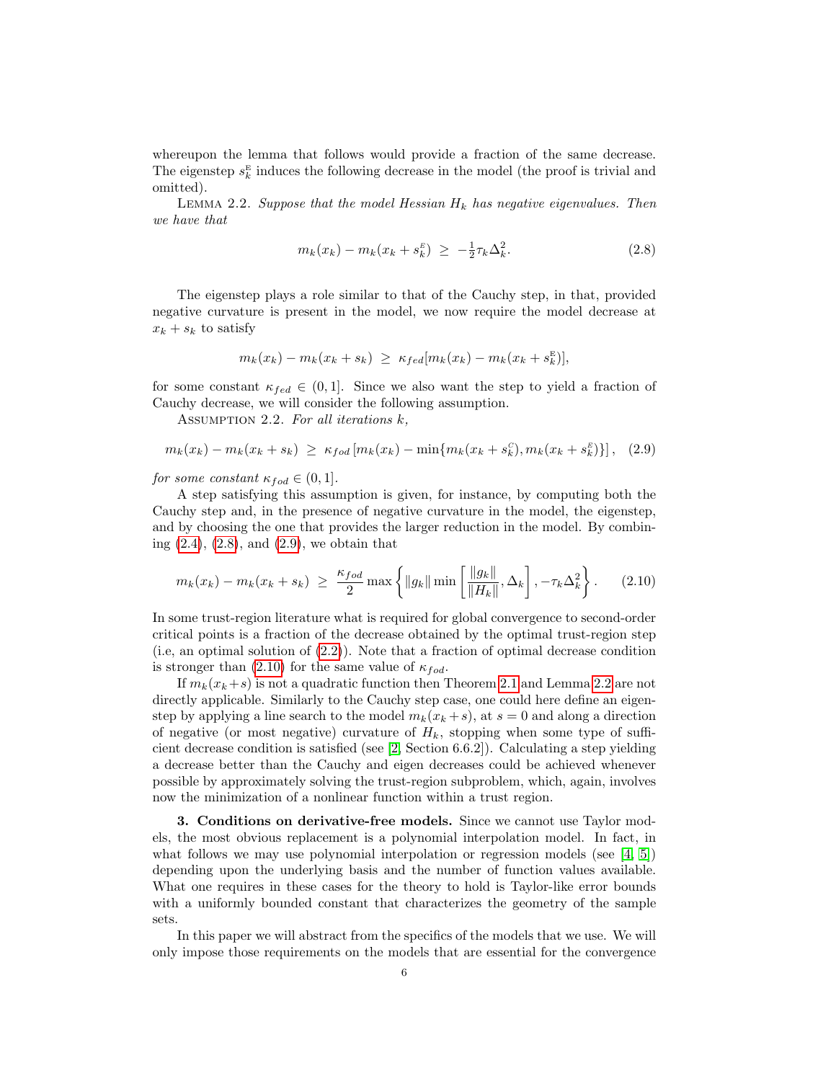whereupon the lemma that follows would provide a fraction of the same decrease. The eigenstep  $s_k^E$  induces the following decrease in the model (the proof is trivial and omitted).

<span id="page-5-4"></span>LEMMA 2.2. Suppose that the model Hessian  $H_k$  has negative eigenvalues. Then we have that

<span id="page-5-1"></span>
$$
m_k(x_k) - m_k(x_k + s_k^E) \ge -\frac{1}{2}\tau_k \Delta_k^2. \tag{2.8}
$$

The eigenstep plays a role similar to that of the Cauchy step, in that, provided negative curvature is present in the model, we now require the model decrease at  $x_k + s_k$  to satisfy

<span id="page-5-2"></span>
$$
m_k(x_k) - m_k(x_k + s_k) \geq \kappa_{fed}[m_k(x_k) - m_k(x_k + s_k^E)],
$$

for some constant  $\kappa_{fed} \in (0,1]$ . Since we also want the step to yield a fraction of Cauchy decrease, we will consider the following assumption.

<span id="page-5-5"></span>ASSUMPTION 2.2. For all iterations  $k$ ,

$$
m_k(x_k) - m_k(x_k + s_k) \ge \kappa_{fod} [m_k(x_k) - \min\{m_k(x_k + s_k^c), m_k(x_k + s_k^c)\}], \quad (2.9)
$$

for some constant  $\kappa_{fod} \in (0,1]$ .

A step satisfying this assumption is given, for instance, by computing both the Cauchy step and, in the presence of negative curvature in the model, the eigenstep, and by choosing the one that provides the larger reduction in the model. By combining  $(2.4)$ ,  $(2.8)$ , and  $(2.9)$ , we obtain that

<span id="page-5-3"></span>
$$
m_k(x_k) - m_k(x_k + s_k) \ge \frac{\kappa_{fod}}{2} \max \left\{ \|g_k\| \min \left[ \frac{\|g_k\|}{\|H_k\|}, \Delta_k \right], -\tau_k \Delta_k^2 \right\}.
$$
 (2.10)

In some trust-region literature what is required for global convergence to second-order critical points is a fraction of the decrease obtained by the optimal trust-region step (i.e, an optimal solution of [\(2.2\)](#page-3-2)). Note that a fraction of optimal decrease condition is stronger than [\(2.10\)](#page-5-3) for the same value of  $\kappa_{fod}$ .

If  $m_k(x_k+s)$  is not a quadratic function then Theorem [2.1](#page-4-2) and Lemma [2.2](#page-5-4) are not directly applicable. Similarly to the Cauchy step case, one could here define an eigenstep by applying a line search to the model  $m_k(x_k + s)$ , at  $s = 0$  and along a direction of negative (or most negative) curvature of  $H_k$ , stopping when some type of sufficient decrease condition is satisfied (see [\[2,](#page-28-0) Section 6.6.2]). Calculating a step yielding a decrease better than the Cauchy and eigen decreases could be achieved whenever possible by approximately solving the trust-region subproblem, which, again, involves now the minimization of a nonlinear function within a trust region.

<span id="page-5-0"></span>3. Conditions on derivative-free models. Since we cannot use Taylor models, the most obvious replacement is a polynomial interpolation model. In fact, in what follows we may use polynomial interpolation or regression models (see  $[4, 5]$  $[4, 5]$ ) depending upon the underlying basis and the number of function values available. What one requires in these cases for the theory to hold is Taylor-like error bounds with a uniformly bounded constant that characterizes the geometry of the sample sets.

In this paper we will abstract from the specifics of the models that we use. We will only impose those requirements on the models that are essential for the convergence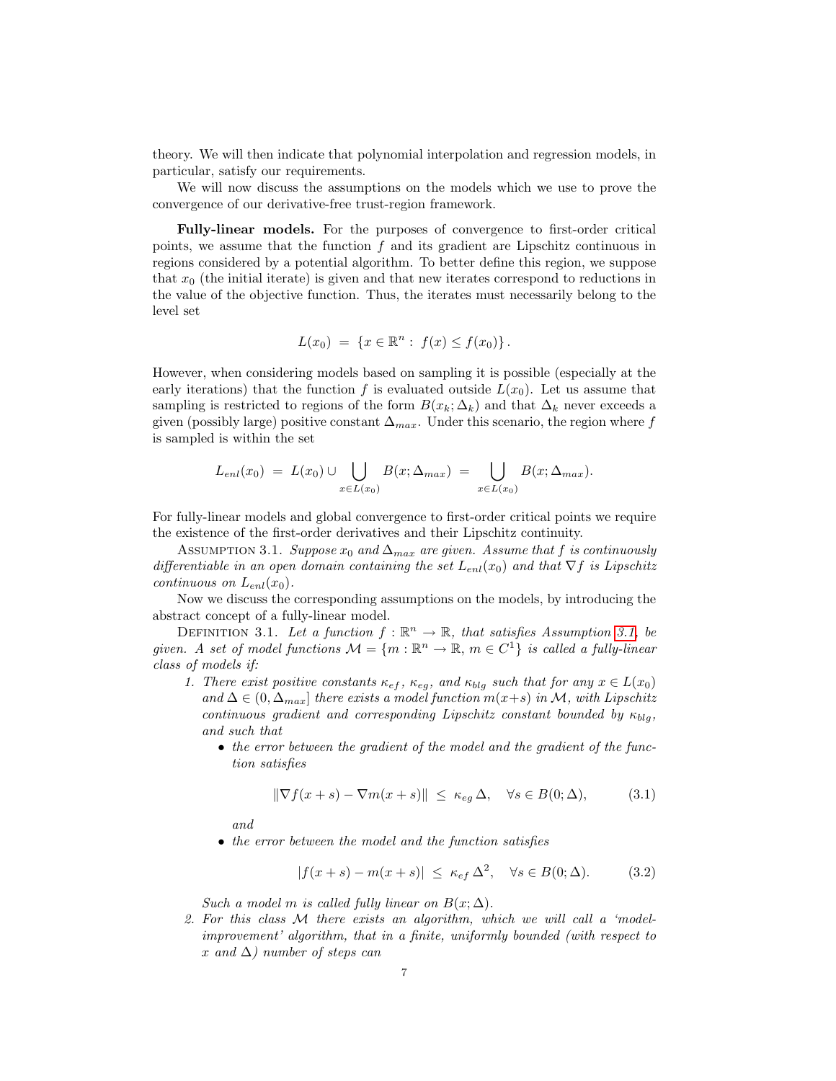theory. We will then indicate that polynomial interpolation and regression models, in particular, satisfy our requirements.

We will now discuss the assumptions on the models which we use to prove the convergence of our derivative-free trust-region framework.

Fully-linear models. For the purposes of convergence to first-order critical points, we assume that the function  $f$  and its gradient are Lipschitz continuous in regions considered by a potential algorithm. To better define this region, we suppose that  $x_0$  (the initial iterate) is given and that new iterates correspond to reductions in the value of the objective function. Thus, the iterates must necessarily belong to the level set

$$
L(x_0) = \{x \in \mathbb{R}^n : f(x) \le f(x_0)\}.
$$

However, when considering models based on sampling it is possible (especially at the early iterations) that the function f is evaluated outside  $L(x_0)$ . Let us assume that sampling is restricted to regions of the form  $B(x_k; \Delta_k)$  and that  $\Delta_k$  never exceeds a given (possibly large) positive constant  $\Delta_{max}$ . Under this scenario, the region where f is sampled is within the set

$$
L_{enl}(x_0) = L(x_0) \cup \bigcup_{x \in L(x_0)} B(x; \Delta_{max}) = \bigcup_{x \in L(x_0)} B(x; \Delta_{max}).
$$

For fully-linear models and global convergence to first-order critical points we require the existence of the first-order derivatives and their Lipschitz continuity.

<span id="page-6-0"></span>ASSUMPTION 3.1. Suppose  $x_0$  and  $\Delta_{max}$  are given. Assume that f is continuously differentiable in an open domain containing the set  $L_{enl}(x_0)$  and that  $\nabla f$  is Lipschitz continuous on  $L_{enl}(x_0)$ .

Now we discuss the corresponding assumptions on the models, by introducing the abstract concept of a fully-linear model.

<span id="page-6-1"></span>DEFINITION 3.1. Let a function  $f : \mathbb{R}^n \to \mathbb{R}$ , that satisfies Assumption [3.1,](#page-6-0) be given. A set of model functions  $\mathcal{M} = \{m : \mathbb{R}^n \to \mathbb{R}, m \in C^1\}$  is called a fully-linear class of models if:

- 1. There exist positive constants  $\kappa_{ef}$ ,  $\kappa_{eg}$ , and  $\kappa_{blg}$  such that for any  $x \in L(x_0)$ and  $\Delta \in (0, \Delta_{max}]$  there exists a model function  $m(x+s)$  in M, with Lipschitz continuous gradient and corresponding Lipschitz constant bounded by  $\kappa_{bla}$ , and such that
	- the error between the gradient of the model and the gradient of the function satisfies

<span id="page-6-2"></span>
$$
\|\nabla f(x+s) - \nabla m(x+s)\| \le \kappa_{eg} \,\Delta, \quad \forall s \in B(0;\Delta), \tag{3.1}
$$

and

• the error between the model and the function satisfies

<span id="page-6-3"></span>
$$
|f(x+s) - m(x+s)| \le \kappa_{ef} \Delta^2, \quad \forall s \in B(0;\Delta). \tag{3.2}
$$

Such a model m is called fully linear on  $B(x; \Delta)$ .

2. For this class M there exists an algorithm, which we will call a 'modelimprovement' algorithm, that in a finite, uniformly bounded (with respect to x and  $\Delta$ ) number of steps can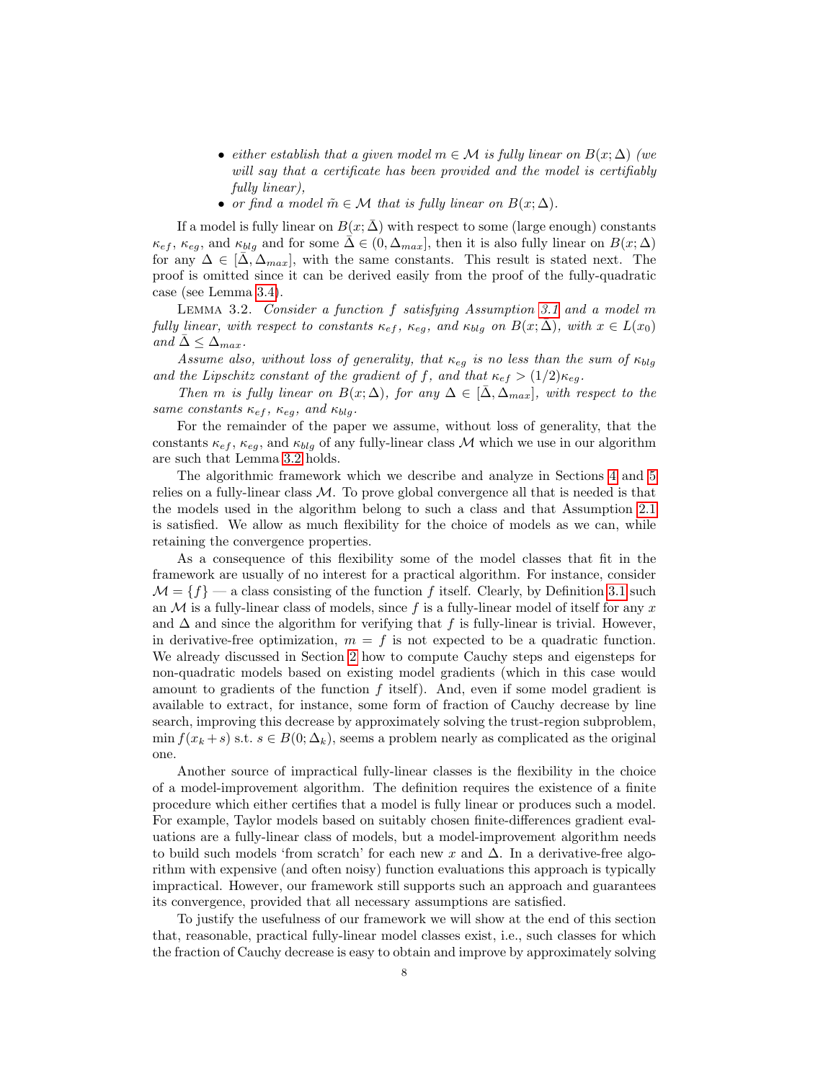- either establish that a given model  $m \in \mathcal{M}$  is fully linear on  $B(x; \Delta)$  (we will say that a certificate has been provided and the model is certifiably fully linear),
- or find a model  $\tilde{m} \in \mathcal{M}$  that is fully linear on  $B(x; \Delta)$ .

If a model is fully linear on  $B(x; \Delta)$  with respect to some (large enough) constants  $\kappa_{ef}$ ,  $\kappa_{eg}$ , and  $\kappa_{blg}$  and for some  $\overline{\Delta} \in (0, \Delta_{max}]$ , then it is also fully linear on  $B(x; \Delta)$ for any  $\Delta \in [\Delta, \Delta_{max}]$ , with the same constants. This result is stated next. The proof is omitted since it can be derived easily from the proof of the fully-quadratic case (see Lemma [3.4\)](#page-8-0).

<span id="page-7-0"></span>Lemma 3.2. Consider a function f satisfying Assumption [3.1](#page-6-0) and a model m fully linear, with respect to constants  $\kappa_{ef}$ ,  $\kappa_{eq}$ , and  $\kappa_{blq}$  on  $B(x;\bar{\Delta})$ , with  $x \in L(x_0)$ and  $\Delta \leq \Delta_{max}$ .

Assume also, without loss of generality, that  $\kappa_{eq}$  is no less than the sum of  $\kappa_{blg}$ and the Lipschitz constant of the gradient of f, and that  $\kappa_{ef} > (1/2)\kappa_{eg}$ .

Then m is fully linear on  $B(x;\Delta)$ , for any  $\Delta \in [\Delta, \Delta_{max}]$ , with respect to the same constants  $\kappa_{ef}$ ,  $\kappa_{eg}$ , and  $\kappa_{blg}$ .

For the remainder of the paper we assume, without loss of generality, that the constants  $\kappa_{ef}$ ,  $\kappa_{eg}$ , and  $\kappa_{blg}$  of any fully-linear class M which we use in our algorithm are such that Lemma [3.2](#page-7-0) holds.

The algorithmic framework which we describe and analyze in Sections [4](#page-12-0) and [5](#page-14-0) relies on a fully-linear class  $M$ . To prove global convergence all that is needed is that the models used in the algorithm belong to such a class and that Assumption [2.1](#page-4-1) is satisfied. We allow as much flexibility for the choice of models as we can, while retaining the convergence properties.

As a consequence of this flexibility some of the model classes that fit in the framework are usually of no interest for a practical algorithm. For instance, consider  $\mathcal{M} = \{f\}$  — a class consisting of the function f itself. Clearly, by Definition [3.1](#page-6-1) such an  $M$  is a fully-linear class of models, since f is a fully-linear model of itself for any x and  $\Delta$  and since the algorithm for verifying that f is fully-linear is trivial. However, in derivative-free optimization,  $m = f$  is not expected to be a quadratic function. We already discussed in Section [2](#page-3-0) how to compute Cauchy steps and eigensteps for non-quadratic models based on existing model gradients (which in this case would amount to gradients of the function  $f$  itself). And, even if some model gradient is available to extract, for instance, some form of fraction of Cauchy decrease by line search, improving this decrease by approximately solving the trust-region subproblem, min  $f(x_k + s)$  s.t.  $s \in B(0; \Delta_k)$ , seems a problem nearly as complicated as the original one.

Another source of impractical fully-linear classes is the flexibility in the choice of a model-improvement algorithm. The definition requires the existence of a finite procedure which either certifies that a model is fully linear or produces such a model. For example, Taylor models based on suitably chosen finite-differences gradient evaluations are a fully-linear class of models, but a model-improvement algorithm needs to build such models 'from scratch' for each new x and  $\Delta$ . In a derivative-free algorithm with expensive (and often noisy) function evaluations this approach is typically impractical. However, our framework still supports such an approach and guarantees its convergence, provided that all necessary assumptions are satisfied.

To justify the usefulness of our framework we will show at the end of this section that, reasonable, practical fully-linear model classes exist, i.e., such classes for which the fraction of Cauchy decrease is easy to obtain and improve by approximately solving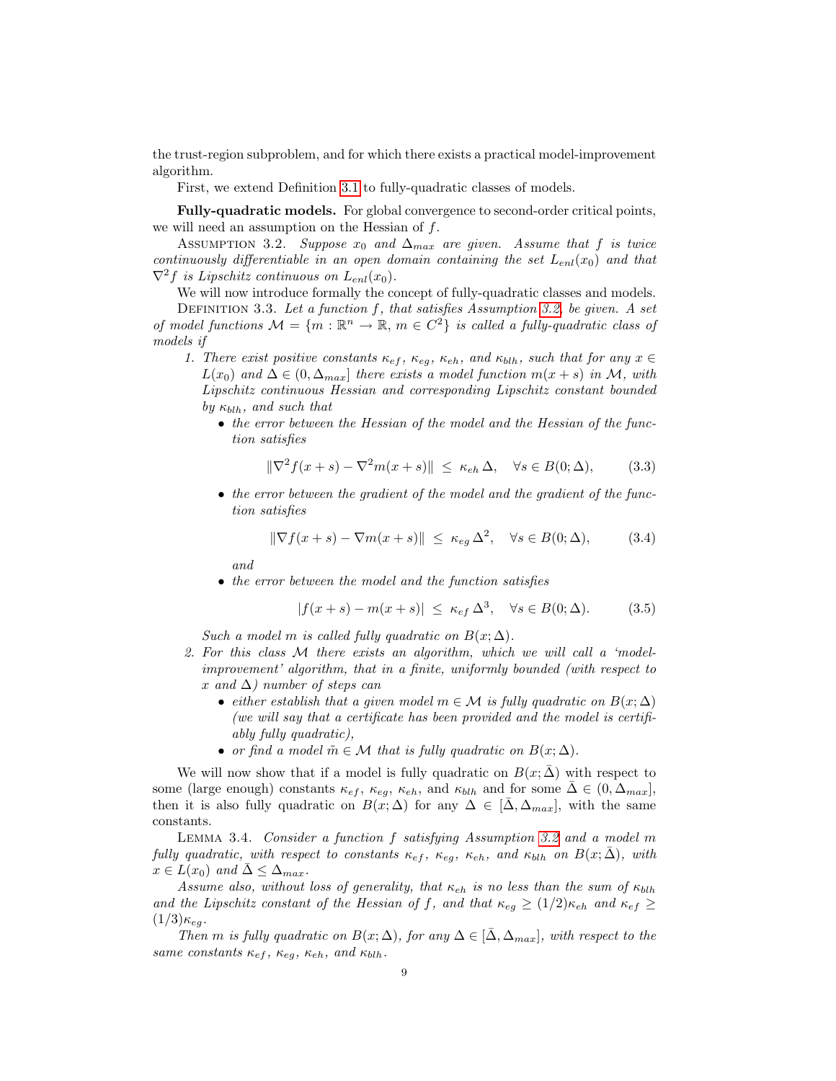the trust-region subproblem, and for which there exists a practical model-improvement algorithm.

First, we extend Definition [3.1](#page-6-1) to fully-quadratic classes of models.

Fully-quadratic models. For global convergence to second-order critical points, we will need an assumption on the Hessian of f.

<span id="page-8-1"></span>ASSUMPTION 3.2. Suppose  $x_0$  and  $\Delta_{max}$  are given. Assume that f is twice continuously differentiable in an open domain containing the set  $L_{enl}(x_0)$  and that  $\nabla^2 f$  is Lipschitz continuous on  $L_{enl}(x_0)$ .

<span id="page-8-4"></span>We will now introduce formally the concept of fully-quadratic classes and models. DEFINITION 3.3. Let a function  $f$ , that satisfies Assumption [3.2,](#page-8-1) be given. A set of model functions  $\mathcal{M} = \{m : \mathbb{R}^n \to \mathbb{R}, m \in \mathbb{C}^2\}$  is called a fully-quadratic class of models if

- 1. There exist positive constants  $\kappa_{ef}$ ,  $\kappa_{eg}$ ,  $\kappa_{eh}$ , and  $\kappa_{blh}$ , such that for any  $x \in$  $L(x_0)$  and  $\Delta \in (0, \Delta_{max}]$  there exists a model function  $m(x + s)$  in M, with Lipschitz continuous Hessian and corresponding Lipschitz constant bounded by  $\kappa_{blh}$ , and such that
	- the error between the Hessian of the model and the Hessian of the function satisfies

<span id="page-8-2"></span>
$$
\|\nabla^2 f(x+s) - \nabla^2 m(x+s)\| \le \kappa_{eh} \,\Delta, \quad \forall s \in B(0;\Delta), \tag{3.3}
$$

• the error between the gradient of the model and the gradient of the function satisfies

<span id="page-8-5"></span>
$$
\|\nabla f(x+s) - \nabla m(x+s)\| \le \kappa_{eg} \,\Delta^2, \quad \forall s \in B(0;\Delta), \tag{3.4}
$$

and

• the error between the model and the function satisfies

<span id="page-8-3"></span>
$$
|f(x+s) - m(x+s)| \le \kappa_{ef} \Delta^3, \quad \forall s \in B(0;\Delta). \tag{3.5}
$$

Such a model m is called fully quadratic on  $B(x; \Delta)$ .

- 2. For this class M there exists an algorithm, which we will call a 'modelimprovement' algorithm, that in a finite, uniformly bounded (with respect to x and  $\Delta$ ) number of steps can
	- either establish that a given model  $m \in \mathcal{M}$  is fully quadratic on  $B(x;\Delta)$ (we will say that a certificate has been provided and the model is certifiably fully quadratic),
	- or find a model  $\tilde{m} \in \mathcal{M}$  that is fully quadratic on  $B(x; \Delta)$ .

We will now show that if a model is fully quadratic on  $B(x;\bar{\Delta})$  with respect to some (large enough) constants  $\kappa_{ef}$ ,  $\kappa_{eg}$ ,  $\kappa_{eh}$ , and  $\kappa_{blh}$  and for some  $\bar{\Delta} \in (0, \Delta_{max}]$ , then it is also fully quadratic on  $B(x; \Delta)$  for any  $\Delta \in [\Delta, \Delta_{max}]$ , with the same constants.

<span id="page-8-0"></span>Lemma 3.4. Consider a function f satisfying Assumption [3.2](#page-8-1) and a model m fully quadratic, with respect to constants  $\kappa_{ef}$ ,  $\kappa_{eg}$ ,  $\kappa_{eh}$ , and  $\kappa_{blh}$  on  $B(x;\overline{\Delta})$ , with  $x \in L(x_0)$  and  $\Delta \leq \Delta_{max}$ .

Assume also, without loss of generality, that  $\kappa_{eh}$  is no less than the sum of  $\kappa_{blh}$ and the Lipschitz constant of the Hessian of f, and that  $\kappa_{eq} \ge (1/2)\kappa_{eh}$  and  $\kappa_{ef} \ge$  $(1/3)\kappa_{eq}$ .

Then m is fully quadratic on  $B(x;\Delta)$ , for any  $\Delta \in [\bar{\Delta}, \Delta_{max}]$ , with respect to the same constants  $\kappa_{ef}$ ,  $\kappa_{eg}$ ,  $\kappa_{eh}$ , and  $\kappa_{blh}$ .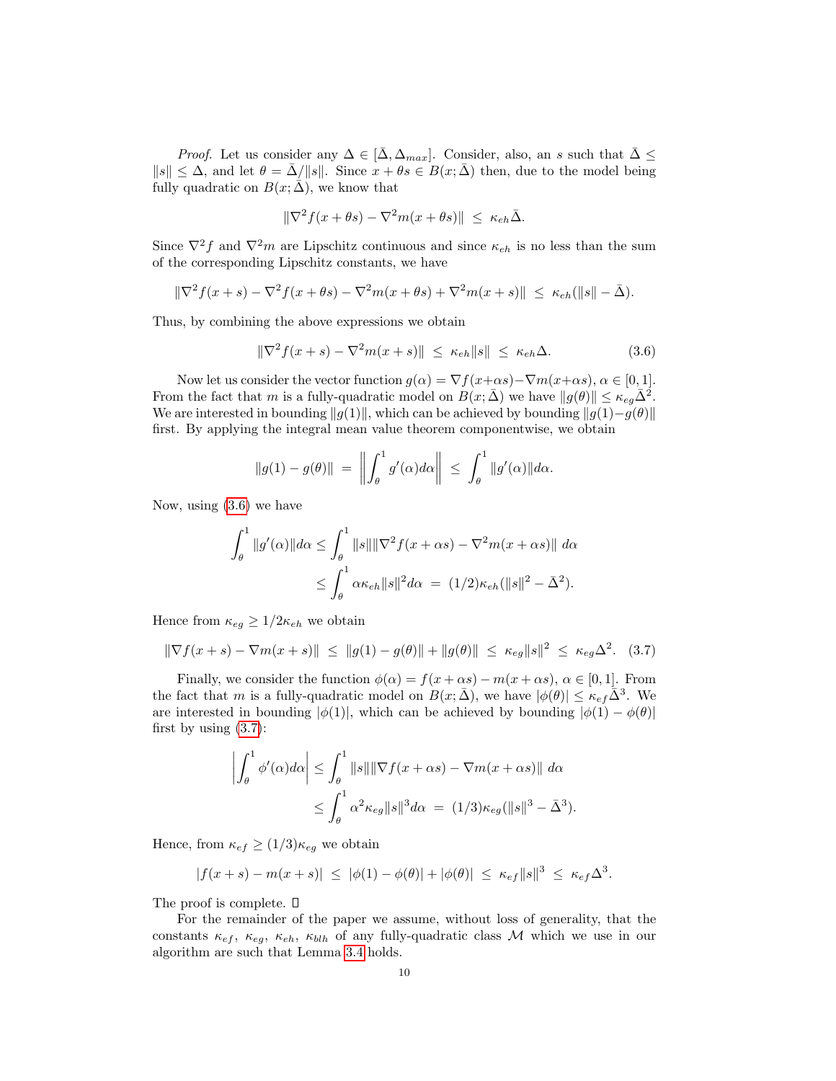*Proof.* Let us consider any  $\Delta \in [\Delta, \Delta_{max}]$ . Consider, also, an s such that  $\Delta \leq$  $||s|| \leq \Delta$ , and let  $\theta = \overline{\Delta}/||s||$ . Since  $x + \theta s \in B(x; \overline{\Delta})$  then, due to the model being fully quadratic on  $B(x; \bar{\Delta})$ , we know that

<span id="page-9-0"></span>
$$
\|\nabla^2 f(x+\theta s) - \nabla^2 m(x+\theta s)\| \le \kappa_{eh} \bar{\Delta}.
$$

Since  $\nabla^2 f$  and  $\nabla^2 m$  are Lipschitz continuous and since  $\kappa_{eh}$  is no less than the sum of the corresponding Lipschitz constants, we have

$$
\|\nabla^2 f(x+s) - \nabla^2 f(x+\theta s) - \nabla^2 m(x+\theta s) + \nabla^2 m(x+s)\| \le \kappa_{eh}(\|s\| - \bar{\Delta}).
$$

Thus, by combining the above expressions we obtain

$$
\|\nabla^2 f(x+s) - \nabla^2 m(x+s)\| \le \kappa_{eh} \|s\| \le \kappa_{eh} \Delta.
$$
 (3.6)

Now let us consider the vector function  $g(\alpha) = \nabla f(x+\alpha s) - \nabla m(x+\alpha s)$ ,  $\alpha \in [0,1]$ . From the fact that m is a fully-quadratic model on  $B(x;\bar{\Delta})$  we have  $||g(\theta)|| \leq \kappa_{eg} \bar{\Delta}^2$ . We are interested in bounding  $||g(1)||$ , which can be achieved by bounding  $||g(1)-g(\theta)||$ first. By applying the integral mean value theorem componentwise, we obtain

$$
\|g(1)-g(\theta)\| = \left\|\int_{\theta}^{1} g'(\alpha)d\alpha\right\| \leq \int_{\theta}^{1} \|g'(\alpha)\|d\alpha.
$$

Now, using [\(3.6\)](#page-9-0) we have

<span id="page-9-1"></span>
$$
\int_{\theta}^{1} ||g'(\alpha)||d\alpha \le \int_{\theta}^{1} ||s|| ||\nabla^2 f(x + \alpha s) - \nabla^2 m(x + \alpha s)|| d\alpha
$$
  

$$
\le \int_{\theta}^{1} \alpha \kappa_{eh} ||s||^2 d\alpha = (1/2) \kappa_{eh} (||s||^2 - \overline{\Delta}^2).
$$

Hence from  $\kappa_{eg} \geq 1/2\kappa_{eh}$  we obtain

$$
\|\nabla f(x+s) - \nabla m(x+s)\| \le \|g(1) - g(\theta)\| + \|g(\theta)\| \le \kappa_{eg} \|s\|^2 \le \kappa_{eg} \Delta^2. \tag{3.7}
$$

Finally, we consider the function  $\phi(\alpha) = f(x + \alpha s) - m(x + \alpha s)$ ,  $\alpha \in [0, 1]$ . From the fact that m is a fully-quadratic model on  $B(x;\overline{\Delta})$ , we have  $|\phi(\theta)| \leq \kappa_{ef} \overline{\Delta}^3$ . We are interested in bounding  $|\phi(1)|$ , which can be achieved by bounding  $|\phi(1) - \phi(\theta)|$ first by using [\(3.7\)](#page-9-1):

$$
\left| \int_{\theta}^{1} \phi'(\alpha) d\alpha \right| \leq \int_{\theta}^{1} ||s|| ||\nabla f(x + \alpha s) - \nabla m(x + \alpha s) || d\alpha
$$
  

$$
\leq \int_{\theta}^{1} \alpha^2 \kappa_{eg} ||s||^3 d\alpha = (1/3) \kappa_{eg} (||s||^3 - \bar{\Delta}^3).
$$

Hence, from  $\kappa_{ef} \geq (1/3) \kappa_{eg}$  we obtain

$$
|f(x+s) - m(x+s)| \le |\phi(1) - \phi(\theta)| + |\phi(\theta)| \le \kappa_{ef} ||s||^3 \le \kappa_{ef} \Delta^3.
$$

The proof is complete.  $\square$ 

For the remainder of the paper we assume, without loss of generality, that the constants  $\kappa_{ef}$ ,  $\kappa_{eg}$ ,  $\kappa_{eh}$ ,  $\kappa_{blh}$  of any fully-quadratic class M which we use in our algorithm are such that Lemma [3.4](#page-8-0) holds.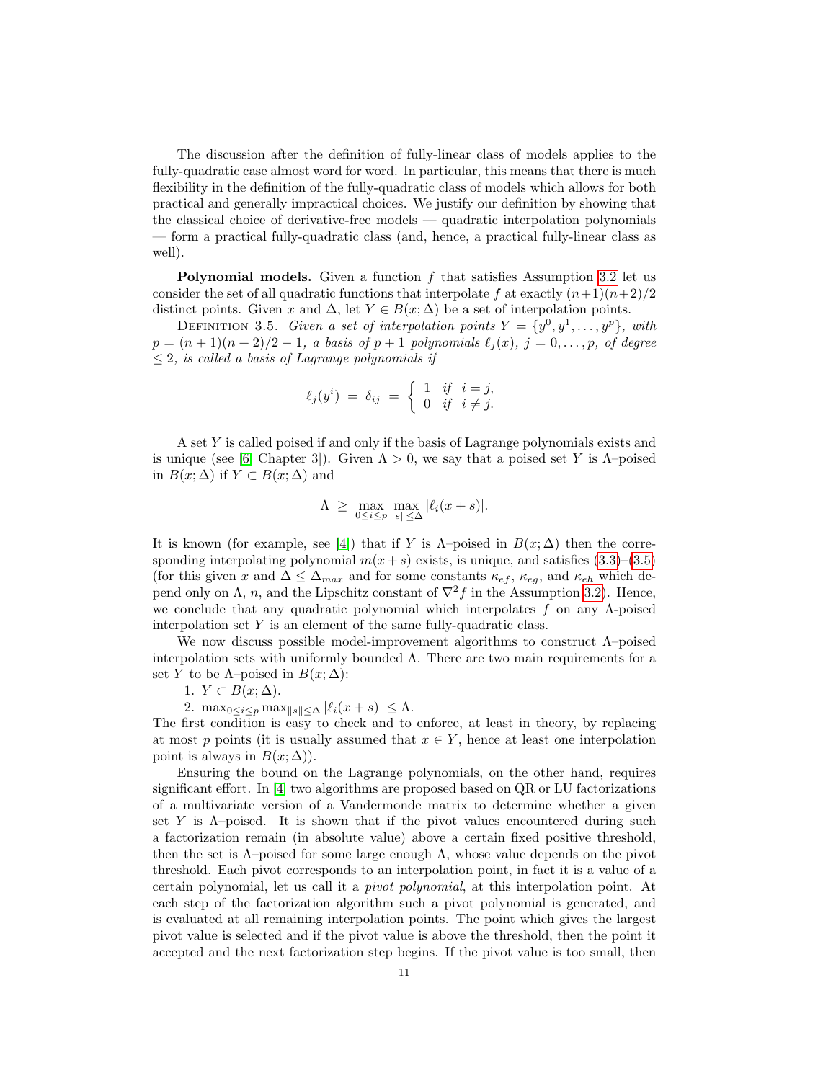The discussion after the definition of fully-linear class of models applies to the fully-quadratic case almost word for word. In particular, this means that there is much flexibility in the definition of the fully-quadratic class of models which allows for both practical and generally impractical choices. We justify our definition by showing that the classical choice of derivative-free models — quadratic interpolation polynomials — form a practical fully-quadratic class (and, hence, a practical fully-linear class as well).

**Polynomial models.** Given a function  $f$  that satisfies Assumption [3.2](#page-8-1) let us consider the set of all quadratic functions that interpolate f at exactly  $(n+1)(n+2)/2$ distinct points. Given x and  $\Delta$ , let  $Y \in B(x; \Delta)$  be a set of interpolation points.

DEFINITION 3.5. Given a set of interpolation points  $Y = \{y^0, y^1, \ldots, y^p\}$ , with  $p = (n+1)(n+2)/2 - 1$ , a basis of  $p+1$  polynomials  $\ell_i (x)$ ,  $j = 0, \ldots, p$ , of degree  $\leq$  2, is called a basis of Lagrange polynomials if

$$
\ell_j(y^i) \ = \ \delta_{ij} \ = \ \left\{ \begin{array}{ll} 1 & \text{if} \quad i = j, \\ 0 & \text{if} \quad i \neq j. \end{array} \right.
$$

A set Y is called poised if and only if the basis of Lagrange polynomials exists and is unique (see [\[6,](#page-28-11) Chapter 3]). Given  $\Lambda > 0$ , we say that a poised set Y is  $\Lambda$ -poised in  $B(x; \Delta)$  if  $Y \subset B(x; \Delta)$  and

$$
\Lambda \geq \max_{0 \leq i \leq p} \max_{\|s\| \leq \Delta} |\ell_i(x+s)|.
$$

It is known (for example, see [\[4\]](#page-28-6)) that if Y is  $\Lambda$ -poised in  $B(x;\Delta)$  then the corresponding interpolating polynomial  $m(x + s)$  exists, is unique, and satisfies  $(3.3)$ – $(3.5)$ (for this given x and  $\Delta \leq \Delta_{max}$  and for some constants  $\kappa_{ef}$ ,  $\kappa_{eg}$ , and  $\kappa_{eh}$  which depend only on  $\Lambda$ , n, and the Lipschitz constant of  $\nabla^2 f$  in the Assumption [3.2\)](#page-8-1). Hence, we conclude that any quadratic polynomial which interpolates f on any  $\Lambda$ -poised interpolation set  $Y$  is an element of the same fully-quadratic class.

We now discuss possible model-improvement algorithms to construct Λ–poised interpolation sets with uniformly bounded  $\Lambda$ . There are two main requirements for a set Y to be  $\Lambda$ –poised in  $B(x; \Delta)$ :

1.  $Y \subset B(x;\Delta)$ .

2. max<sub>0≤i≤p</sub> max<sub>||s||≤</sub>∆  $|\ell_i(x + s)| \leq \Lambda$ .

The first condition is easy to check and to enforce, at least in theory, by replacing at most p points (it is usually assumed that  $x \in Y$ , hence at least one interpolation point is always in  $B(x; \Delta)$ ).

Ensuring the bound on the Lagrange polynomials, on the other hand, requires significant effort. In [\[4\]](#page-28-6) two algorithms are proposed based on QR or LU factorizations of a multivariate version of a Vandermonde matrix to determine whether a given set Y is  $\Lambda$ -poised. It is shown that if the pivot values encountered during such a factorization remain (in absolute value) above a certain fixed positive threshold, then the set is  $\Lambda$ –poised for some large enough  $\Lambda$ , whose value depends on the pivot threshold. Each pivot corresponds to an interpolation point, in fact it is a value of a certain polynomial, let us call it a pivot polynomial, at this interpolation point. At each step of the factorization algorithm such a pivot polynomial is generated, and is evaluated at all remaining interpolation points. The point which gives the largest pivot value is selected and if the pivot value is above the threshold, then the point it accepted and the next factorization step begins. If the pivot value is too small, then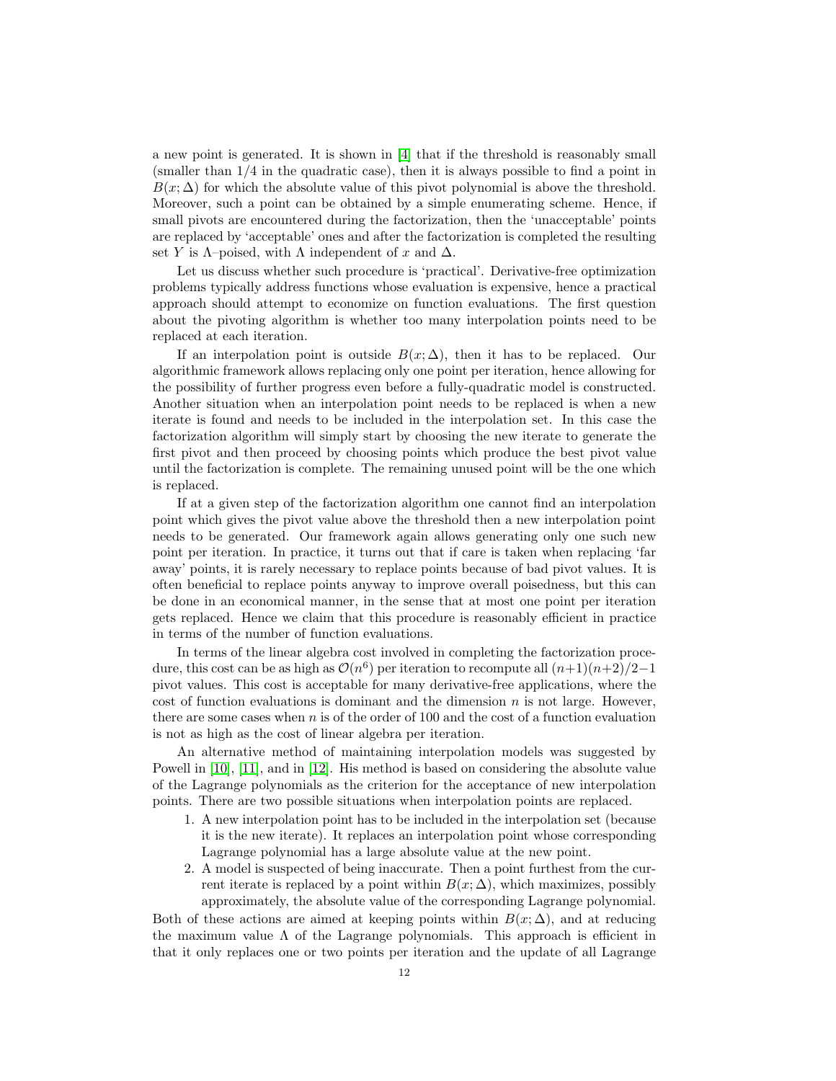a new point is generated. It is shown in [\[4\]](#page-28-6) that if the threshold is reasonably small (smaller than 1/4 in the quadratic case), then it is always possible to find a point in  $B(x; \Delta)$  for which the absolute value of this pivot polynomial is above the threshold. Moreover, such a point can be obtained by a simple enumerating scheme. Hence, if small pivots are encountered during the factorization, then the 'unacceptable' points are replaced by 'acceptable' ones and after the factorization is completed the resulting set Y is  $\Lambda$ –poised, with  $\Lambda$  independent of x and  $\Delta$ .

Let us discuss whether such procedure is 'practical'. Derivative-free optimization problems typically address functions whose evaluation is expensive, hence a practical approach should attempt to economize on function evaluations. The first question about the pivoting algorithm is whether too many interpolation points need to be replaced at each iteration.

If an interpolation point is outside  $B(x; \Delta)$ , then it has to be replaced. Our algorithmic framework allows replacing only one point per iteration, hence allowing for the possibility of further progress even before a fully-quadratic model is constructed. Another situation when an interpolation point needs to be replaced is when a new iterate is found and needs to be included in the interpolation set. In this case the factorization algorithm will simply start by choosing the new iterate to generate the first pivot and then proceed by choosing points which produce the best pivot value until the factorization is complete. The remaining unused point will be the one which is replaced.

If at a given step of the factorization algorithm one cannot find an interpolation point which gives the pivot value above the threshold then a new interpolation point needs to be generated. Our framework again allows generating only one such new point per iteration. In practice, it turns out that if care is taken when replacing 'far away' points, it is rarely necessary to replace points because of bad pivot values. It is often beneficial to replace points anyway to improve overall poisedness, but this can be done in an economical manner, in the sense that at most one point per iteration gets replaced. Hence we claim that this procedure is reasonably efficient in practice in terms of the number of function evaluations.

In terms of the linear algebra cost involved in completing the factorization procedure, this cost can be as high as  $\mathcal{O}(n^6)$  per iteration to recompute all  $(n+1)(n+2)/2-1$ pivot values. This cost is acceptable for many derivative-free applications, where the cost of function evaluations is dominant and the dimension  $n$  is not large. However, there are some cases when  $n$  is of the order of 100 and the cost of a function evaluation is not as high as the cost of linear algebra per iteration.

An alternative method of maintaining interpolation models was suggested by Powell in [\[10\]](#page-28-12), [\[11\]](#page-28-13), and in [\[12\]](#page-28-5). His method is based on considering the absolute value of the Lagrange polynomials as the criterion for the acceptance of new interpolation points. There are two possible situations when interpolation points are replaced.

- 1. A new interpolation point has to be included in the interpolation set (because it is the new iterate). It replaces an interpolation point whose corresponding Lagrange polynomial has a large absolute value at the new point.
- 2. A model is suspected of being inaccurate. Then a point furthest from the current iterate is replaced by a point within  $B(x; \Delta)$ , which maximizes, possibly approximately, the absolute value of the corresponding Lagrange polynomial.

Both of these actions are aimed at keeping points within  $B(x; \Delta)$ , and at reducing the maximum value  $\Lambda$  of the Lagrange polynomials. This approach is efficient in that it only replaces one or two points per iteration and the update of all Lagrange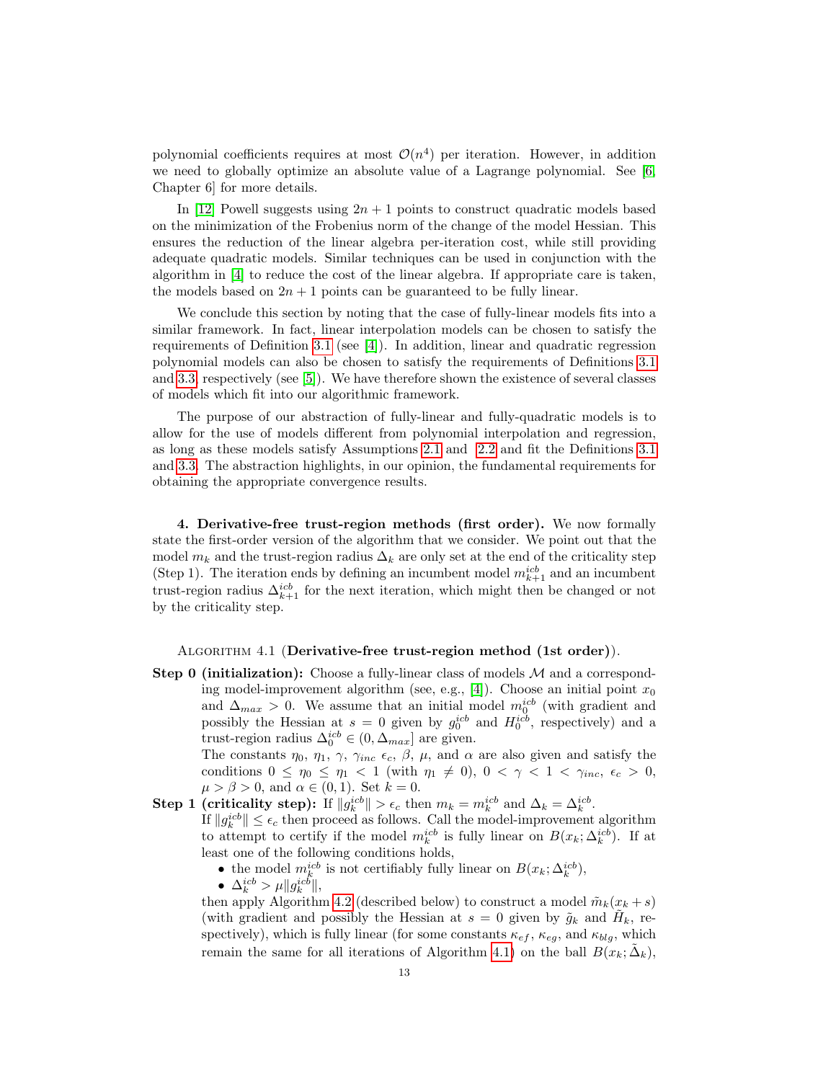polynomial coefficients requires at most  $\mathcal{O}(n^4)$  per iteration. However, in addition we need to globally optimize an absolute value of a Lagrange polynomial. See [\[6,](#page-28-11) Chapter 6] for more details.

In [\[12\]](#page-28-5) Powell suggests using  $2n + 1$  points to construct quadratic models based on the minimization of the Frobenius norm of the change of the model Hessian. This ensures the reduction of the linear algebra per-iteration cost, while still providing adequate quadratic models. Similar techniques can be used in conjunction with the algorithm in [\[4\]](#page-28-6) to reduce the cost of the linear algebra. If appropriate care is taken, the models based on  $2n + 1$  points can be guaranteed to be fully linear.

We conclude this section by noting that the case of fully-linear models fits into a similar framework. In fact, linear interpolation models can be chosen to satisfy the requirements of Definition [3.1](#page-6-1) (see [\[4\]](#page-28-6)). In addition, linear and quadratic regression polynomial models can also be chosen to satisfy the requirements of Definitions [3.1](#page-6-1) and [3.3,](#page-8-4) respectively (see [\[5\]](#page-28-7)). We have therefore shown the existence of several classes of models which fit into our algorithmic framework.

The purpose of our abstraction of fully-linear and fully-quadratic models is to allow for the use of models different from polynomial interpolation and regression, as long as these models satisfy Assumptions [2.1](#page-4-1) and [2.2](#page-5-5) and fit the Definitions [3.1](#page-6-1) and [3.3.](#page-8-4) The abstraction highlights, in our opinion, the fundamental requirements for obtaining the appropriate convergence results.

<span id="page-12-0"></span>4. Derivative-free trust-region methods (first order). We now formally state the first-order version of the algorithm that we consider. We point out that the model  $m_k$  and the trust-region radius  $\Delta_k$  are only set at the end of the criticality step (Step 1). The iteration ends by defining an incumbent model  $m_{k+1}^{icb}$  and an incumbent trust-region radius  $\Delta_{k+1}^{icb}$  for the next iteration, which might then be changed or not by the criticality step.

### <span id="page-12-1"></span>ALGORITHM 4.1 (Derivative-free trust-region method (1st order)).

**Step 0 (initialization):** Choose a fully-linear class of models  $M$  and a corresponding model-improvement algorithm (see, e.g.,  $[4]$ ). Choose an initial point  $x_0$ and  $\Delta_{max} > 0$ . We assume that an initial model  $m_0^{icb}$  (with gradient and possibly the Hessian at  $s = 0$  given by  $g_0^{icb}$  and  $H_0^{icb}$ , respectively) and a trust-region radius  $\Delta_0^{icb} \in (0, \Delta_{max}]$  are given.

The constants  $\eta_0$ ,  $\eta_1$ ,  $\gamma$ ,  $\gamma_{inc} \epsilon_c$ ,  $\beta$ ,  $\mu$ , and  $\alpha$  are also given and satisfy the conditions  $0 \leq \eta_0 \leq \eta_1 < 1$  (with  $\eta_1 \neq 0$ ),  $0 < \gamma < 1 < \gamma_{inc}, \epsilon_c > 0$ ,  $\mu > \beta > 0$ , and  $\alpha \in (0,1)$ . Set  $k = 0$ .

Step 1 (criticality step): If  $||g_k^{icb}|| > \epsilon_c$  then  $m_k = m_k^{icb}$  and  $\Delta_k = \Delta_k^{icb}$ .

If  $||g_k^{icb}|| \leq \epsilon_c$  then proceed as follows. Call the model-improvement algorithm to attempt to certify if the model  $m_k^{icb}$  is fully linear on  $B(x_k; \Delta_k^{icb})$ . If at least one of the following conditions holds,

- the model  $m_k^{icb}$  is not certifiably fully linear on  $B(x_k; \Delta_k^{icb})$ ,
- $\Delta_k^{icb} > \mu \|g_k^{icb}\|,$

then apply Algorithm [4.2](#page-13-0) (described below) to construct a model  $\tilde{m}_k(x_k + s)$ (with gradient and possibly the Hessian at  $s = 0$  given by  $\tilde{g}_k$  and  $\tilde{H}_k$ , respectively), which is fully linear (for some constants  $\kappa_{ef}$ ,  $\kappa_{eg}$ , and  $\kappa_{blq}$ , which remain the same for all iterations of Algorithm [4.1\)](#page-12-1) on the ball  $B(x_k; \tilde{\Delta}_k)$ ,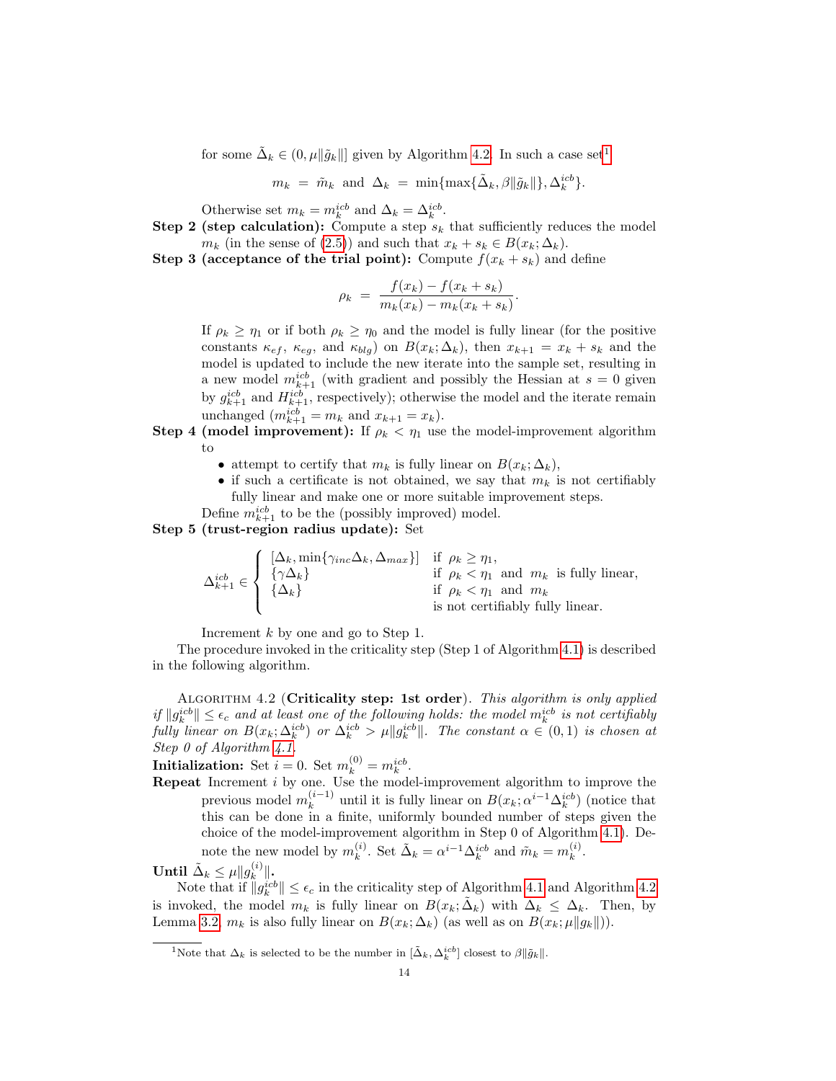for some  $\tilde{\Delta}_k \in (0, \mu \|\tilde{g}_k\|]$  given by Algorithm [4.2.](#page-13-0) In such a case set<sup>[1](#page-13-1)</sup>

$$
m_k = \tilde{m}_k
$$
 and  $\Delta_k = \min{\max{\{\tilde{\Delta}_k, \beta \|\tilde{g}_k\| \}, \Delta_k^{icb}\}}$ .

Otherwise set  $m_k = m_k^{icb}$  and  $\Delta_k = \Delta_k^{icb}$ .

- **Step 2 (step calculation):** Compute a step  $s_k$  that sufficiently reduces the model  $m_k$  (in the sense of [\(2.5\)](#page-4-5)) and such that  $x_k + s_k \in B(x_k; \Delta_k)$ .
- **Step 3 (acceptance of the trial point):** Compute  $f(x_k + s_k)$  and define

$$
\rho_k = \frac{f(x_k) - f(x_k + s_k)}{m_k(x_k) - m_k(x_k + s_k)}.
$$

If  $\rho_k \geq \eta_1$  or if both  $\rho_k \geq \eta_0$  and the model is fully linear (for the positive constants  $\kappa_{ef}$ ,  $\kappa_{eg}$ , and  $\kappa_{blq}$ ) on  $B(x_k; \Delta_k)$ , then  $x_{k+1} = x_k + s_k$  and the model is updated to include the new iterate into the sample set, resulting in a new model  $m_{k+1}^{icb}$  (with gradient and possibly the Hessian at  $s = 0$  given by  $g_{k+1}^{icb}$  and  $H_{k+1}^{icb}$ , respectively); otherwise the model and the iterate remain unchanged  $(m_{k+1}^{icb} = m_k$  and  $x_{k+1} = x_k$ ).

- **Step 4 (model improvement):** If  $\rho_k < \eta_1$  use the model-improvement algorithm to
	- attempt to certify that  $m_k$  is fully linear on  $B(x_k; \Delta_k)$ ,
	- if such a certificate is not obtained, we say that  $m_k$  is not certifiably fully linear and make one or more suitable improvement steps.
	- Define  $m_{k+1}^{icb}$  to be the (possibly improved) model.

Step 5 (trust-region radius update): Set

$$
\Delta_{k+1}^{icb} \in \begin{cases}\n[\Delta_k, \min\{\gamma_{inc}\Delta_k, \Delta_{max}\}] & \text{if } \rho_k \ge \eta_1, \\
\{\gamma\Delta_k\} & \text{if } \rho_k < \eta_1 \text{ and } m_k \text{ is fully linear,} \\
\{\Delta_k\} & \text{if } \rho_k < \eta_1 \text{ and } m_k \\
\text{is not certainly fully linear.}\n\end{cases}
$$

Increment k by one and go to Step 1.

The procedure invoked in the criticality step (Step 1 of Algorithm [4.1\)](#page-12-1) is described in the following algorithm.

<span id="page-13-0"></span>ALGORITHM 4.2 (Criticality step: 1st order). This algorithm is only applied if  $||g_k^{icb}|| \leq \epsilon_c$  and at least one of the following holds: the model  $m_k^{icb}$  is not certifiably fully linear on  $B(x_k; \Delta_k^{icb})$  or  $\Delta_k^{icb} > \mu \|g_k^{icb}\|$ . The constant  $\alpha \in (0,1)$  is chosen at Step 0 of Algorithm [4.1.](#page-12-1)

**Initialization:** Set  $i = 0$ . Set  $m_k^{(0)} = m_k^{icb}$ .

**Repeat** Increment  $i$  by one. Use the model-improvement algorithm to improve the previous model  $m_k^{(i-1)}$  $k^{(i-1)}$  until it is fully linear on  $B(x_k; \alpha^{i-1} \Delta_k^{icb})$  (notice that this can be done in a finite, uniformly bounded number of steps given the choice of the model-improvement algorithm in Step 0 of Algorithm [4.1\)](#page-12-1). Denote the new model by  $m_k^{(i)}$  $\tilde{k}^{(i)}$ . Set  $\tilde{\Delta}_k = \alpha^{i-1} \Delta_k^{icb}$  and  $\tilde{m}_k = m_k^{(i)}$  $\frac{\binom{n}{k}}{k}$ 

Until  $\tilde{\Delta}_k \leq \mu \|g_k^{(i)}\|$  $_{k}^{\left( \imath\right) }\Vert .$ 

Note that if  $||g_k^{icb}|| \leq \epsilon_c$  in the criticality step of Algorithm [4.1](#page-12-1) and Algorithm [4.2](#page-13-0) is invoked, the model  $m_k$  is fully linear on  $B(x_k; \tilde{\Delta}_k)$  with  $\tilde{\Delta}_k \leq \Delta_k$ . Then, by Lemma [3.2,](#page-7-0)  $m_k$  is also fully linear on  $B(x_k; \Delta_k)$  (as well as on  $B(x_k; \mu \|g_k\|)$ ).

<span id="page-13-1"></span><sup>&</sup>lt;sup>1</sup>Note that  $\Delta_k$  is selected to be the number in  $[\tilde{\Delta}_k, \Delta_k^{icb}]$  closest to  $\beta ||\tilde{g}_k||$ .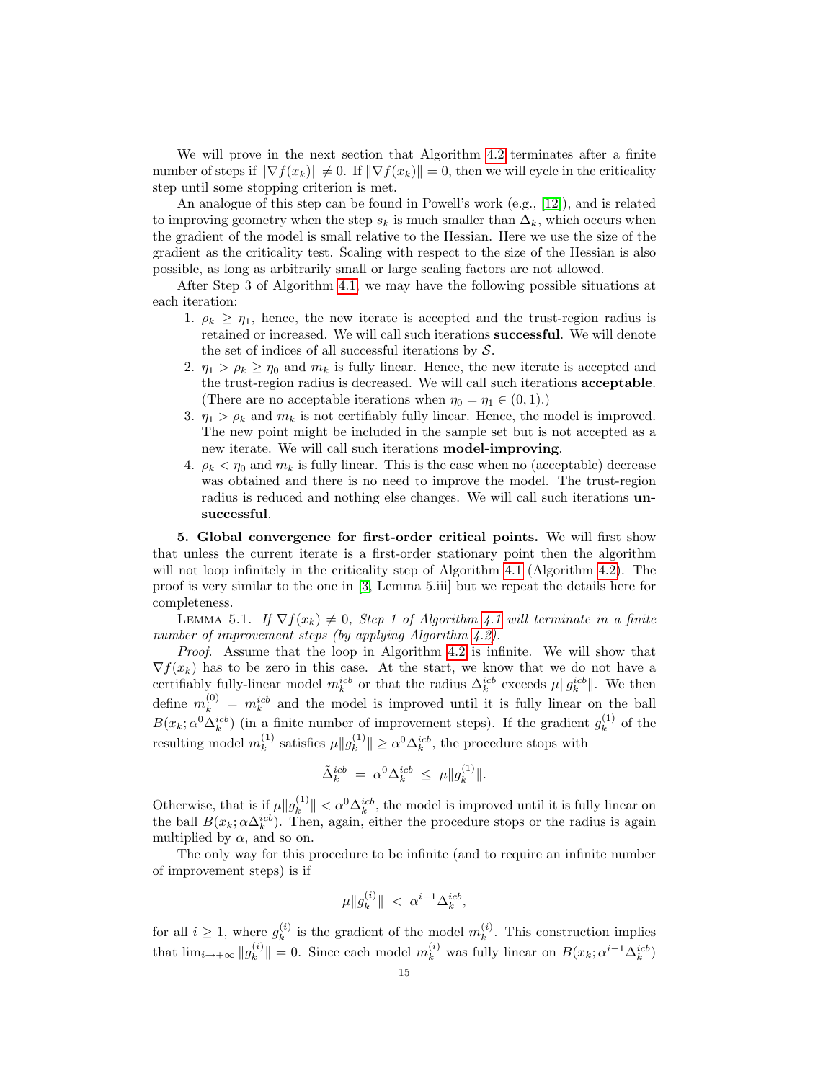We will prove in the next section that Algorithm [4.2](#page-13-0) terminates after a finite number of steps if  $\|\nabla f(x_k)\| \neq 0$ . If  $\|\nabla f(x_k)\| = 0$ , then we will cycle in the criticality step until some stopping criterion is met.

An analogue of this step can be found in Powell's work (e.g., [\[12\]](#page-28-5)), and is related to improving geometry when the step  $s_k$  is much smaller than  $\Delta_k$ , which occurs when the gradient of the model is small relative to the Hessian. Here we use the size of the gradient as the criticality test. Scaling with respect to the size of the Hessian is also possible, as long as arbitrarily small or large scaling factors are not allowed.

After Step 3 of Algorithm [4.1,](#page-12-1) we may have the following possible situations at each iteration:

- 1.  $\rho_k \geq \eta_1$ , hence, the new iterate is accepted and the trust-region radius is retained or increased. We will call such iterations successful. We will denote the set of indices of all successful iterations by  $S$ .
- 2.  $\eta_1 > \rho_k \geq \eta_0$  and  $m_k$  is fully linear. Hence, the new iterate is accepted and the trust-region radius is decreased. We will call such iterations acceptable. (There are no acceptable iterations when  $\eta_0 = \eta_1 \in (0,1)$ .)
- 3.  $\eta_1 > \rho_k$  and  $m_k$  is not certifiably fully linear. Hence, the model is improved. The new point might be included in the sample set but is not accepted as a new iterate. We will call such iterations model-improving.
- 4.  $\rho_k < \eta_0$  and  $m_k$  is fully linear. This is the case when no (acceptable) decrease was obtained and there is no need to improve the model. The trust-region radius is reduced and nothing else changes. We will call such iterations unsuccessful.

<span id="page-14-0"></span>5. Global convergence for first-order critical points. We will first show that unless the current iterate is a first-order stationary point then the algorithm will not loop infinitely in the criticality step of Algorithm [4.1](#page-12-1) (Algorithm [4.2\)](#page-13-0). The proof is very similar to the one in [\[3,](#page-28-3) Lemma 5.iii] but we repeat the details here for completeness.

<span id="page-14-1"></span>LEMMA 5.1. If  $\nabla f(x_k) \neq 0$ , Step 1 of Algorithm [4.1](#page-12-1) will terminate in a finite number of improvement steps (by applying Algorithm [4.2\)](#page-13-0).

Proof. Assume that the loop in Algorithm [4.2](#page-13-0) is infinite. We will show that  $\nabla f(x_k)$  has to be zero in this case. At the start, we know that we do not have a certifiably fully-linear model  $m_k^{icb}$  or that the radius  $\Delta_k^{icb}$  exceeds  $\mu \|g_k^{icb}\|$ . We then define  $m_k^{(0)} = m_k^{icb}$  and the model is improved until it is fully linear on the ball  $B(x_k; \alpha^0 \Delta_k^{icb})$  (in a finite number of improvement steps). If the gradient  $g_k^{(1)}$  $k^{(1)}$  of the resulting model  $m_k^{(1)}$  $_{k}^{(1)}$  satisfies  $\mu||g_{k}^{(1)}$  $\|k_k^{(1)}\| \ge \alpha^0 \Delta_k^{icb}$ , the procedure stops with

$$
\tilde{\Delta}^{icb}_{k} = \alpha^{0} \Delta^{icb}_{k} \leq \mu \|g_{k}^{(1)}\|.
$$

Otherwise, that is if  $\mu$ || $g_k^{(1)}$  $\|k^{(1)}\| < \alpha^0 \Delta_k^{icb}$ , the model is improved until it is fully linear on the ball  $B(x_k; \alpha \Delta_k^{icb})$ . Then, again, either the procedure stops or the radius is again multiplied by  $\alpha$ , and so on.

The only way for this procedure to be infinite (and to require an infinite number of improvement steps) is if

$$
\mu \|g_k^{(i)}\| \, < \, \alpha^{i-1} \Delta_k^{icb},
$$

for all  $i \geq 1$ , where  $g_k^{(i)}$  $\binom{i}{k}$  is the gradient of the model  $m_k^{(i)}$  $\binom{n}{k}$ . This construction implies that  $\lim_{i\to+\infty} \|g_k^{(i)}\|$  $\|k_k^{(i)}\| = 0$ . Since each model  $m_k^{(i)}$  was fully linear on  $B(x_k; \alpha^{i-1} \Delta_k^{icb})$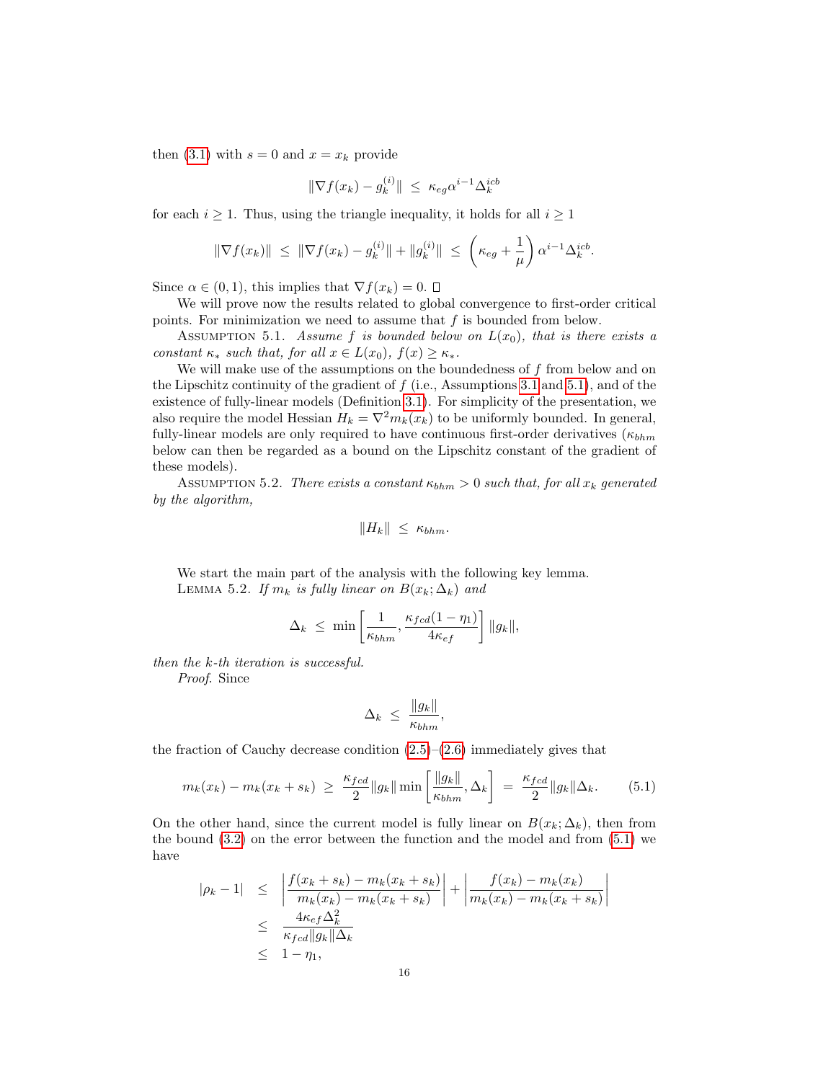then [\(3.1\)](#page-6-2) with  $s = 0$  and  $x = x_k$  provide

$$
\|\nabla f(x_k) - g_k^{(i)}\| \le \kappa_{eg} \alpha^{i-1} \Delta_k^{icb}
$$

for each  $i \geq 1$ . Thus, using the triangle inequality, it holds for all  $i \geq 1$ 

$$
\|\nabla f(x_k)\| \ \leq \ \|\nabla f(x_k) - g_k^{(i)}\| + \|g_k^{(i)}\| \ \leq \ \left(\kappa_{eg} + \frac{1}{\mu}\right)\alpha^{i-1}\Delta_k^{icb}.
$$

Since  $\alpha \in (0,1)$ , this implies that  $\nabla f(x_k) = 0$ .  $\Box$ 

We will prove now the results related to global convergence to first-order critical points. For minimization we need to assume that  $f$  is bounded from below.

<span id="page-15-0"></span>ASSUMPTION 5.1. Assume f is bounded below on  $L(x_0)$ , that is there exists a constant  $\kappa_*$  such that, for all  $x \in L(x_0)$ ,  $f(x) \geq \kappa_*$ .

We will make use of the assumptions on the boundedness of  $f$  from below and on the Lipschitz continuity of the gradient of  $f$  (i.e., Assumptions [3.1](#page-6-0) and [5.1\)](#page-15-0), and of the existence of fully-linear models (Definition [3.1\)](#page-6-1). For simplicity of the presentation, we also require the model Hessian  $H_k = \nabla^2 m_k(x_k)$  to be uniformly bounded. In general, fully-linear models are only required to have continuous first-order derivatives ( $\kappa_{bhm}$ below can then be regarded as a bound on the Lipschitz constant of the gradient of these models).

<span id="page-15-3"></span>ASSUMPTION 5.2. There exists a constant  $\kappa_{bhm} > 0$  such that, for all  $x_k$  generated by the algorithm,

$$
||H_k|| \leq \kappa_{bhm}.
$$

<span id="page-15-2"></span>We start the main part of the analysis with the following key lemma. LEMMA 5.2. If  $m_k$  is fully linear on  $B(x_k; \Delta_k)$  and

$$
\Delta_k \leq \min\left[\frac{1}{\kappa_{bhm}}, \frac{\kappa_{fcd}(1-\eta_1)}{4\kappa_{ef}}\right] \|g_k\|,
$$

then the k-th iteration is successful.

Proof. Since

<span id="page-15-1"></span>
$$
\Delta_k \leq \frac{\|g_k\|}{\kappa_{bhm}},
$$

the fraction of Cauchy decrease condition  $(2.5)$ – $(2.6)$  immediately gives that

$$
m_k(x_k) - m_k(x_k + s_k) \ge \frac{\kappa_{fcd}}{2} \|g_k\| \min\left[\frac{\|g_k\|}{\kappa_{bhm}}, \Delta_k\right] = \frac{\kappa_{fcd}}{2} \|g_k\| \Delta_k. \tag{5.1}
$$

On the other hand, since the current model is fully linear on  $B(x_k; \Delta_k)$ , then from the bound  $(3.2)$  on the error between the function and the model and from  $(5.1)$  we have

$$
|\rho_k - 1| \leq \left| \frac{f(x_k + s_k) - m_k(x_k + s_k)}{m_k(x_k) - m_k(x_k + s_k)} \right| + \left| \frac{f(x_k) - m_k(x_k)}{m_k(x_k) - m_k(x_k + s_k)} \right|
$$
  

$$
\leq \frac{4\kappa_{ef}\Delta_k^2}{\kappa_{fcd}||g_k||\Delta_k}
$$
  

$$
\leq 1 - \eta_1,
$$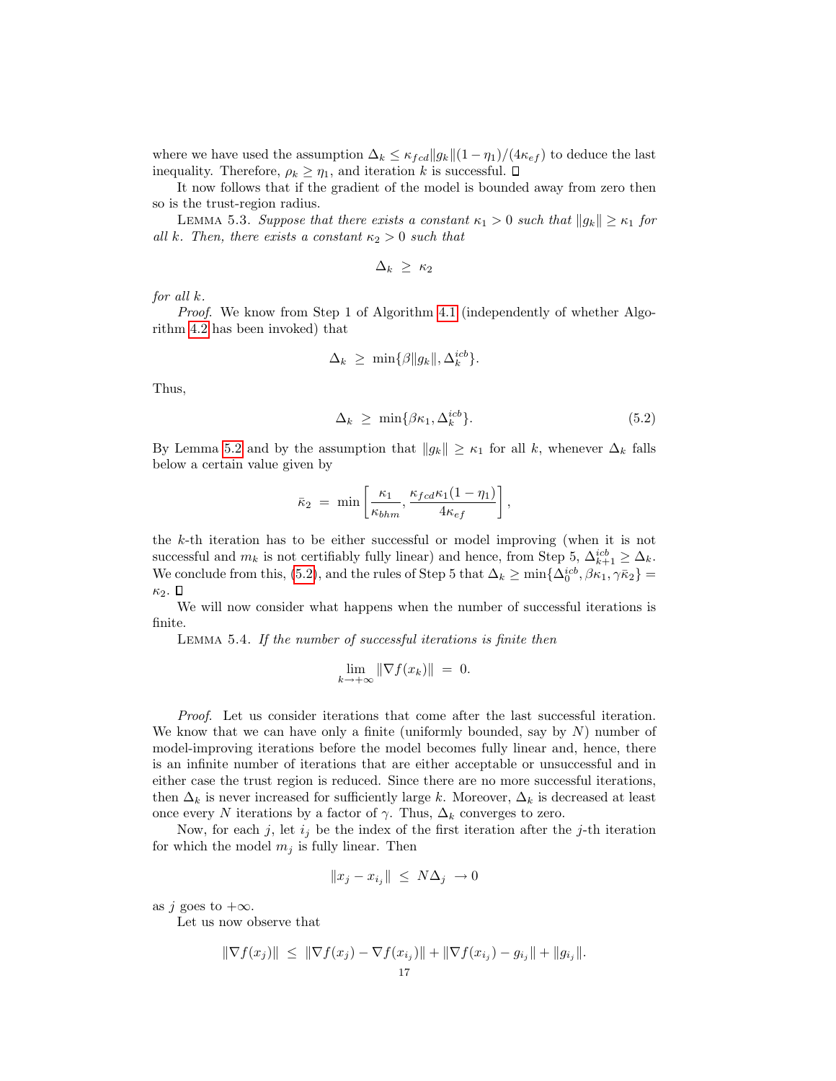where we have used the assumption  $\Delta_k \leq \kappa_{fcd} ||g_k|| (1 - \eta_1) / (4 \kappa_{ef})$  to deduce the last inequality. Therefore,  $\rho_k \geq \eta_1$ , and iteration k is successful.  $\Box$ 

It now follows that if the gradient of the model is bounded away from zero then so is the trust-region radius.

<span id="page-16-2"></span>LEMMA 5.3. Suppose that there exists a constant  $\kappa_1 > 0$  such that  $||g_k|| \ge \kappa_1$  for all k. Then, there exists a constant  $\kappa_2 > 0$  such that

$$
\Delta_k~\geq~\kappa_2
$$

for all k.

Proof. We know from Step 1 of Algorithm [4.1](#page-12-1) (independently of whether Algorithm [4.2](#page-13-0) has been invoked) that

$$
\Delta_k \geq \min\{\beta \|g_k\|, \Delta_k^{icb}\}.
$$

<span id="page-16-0"></span>Thus,

$$
\Delta_k \ge \min\{\beta \kappa_1, \Delta_k^{icb}\}.\tag{5.2}
$$

By Lemma [5.2](#page-15-2) and by the assumption that  $||g_k|| \geq \kappa_1$  for all k, whenever  $\Delta_k$  falls below a certain value given by

$$
\bar{\kappa}_2 = \min\left[\frac{\kappa_1}{\kappa_{bhm}}, \frac{\kappa_{fcd}\kappa_1(1-\eta_1)}{4\kappa_{ef}}\right],
$$

the k-th iteration has to be either successful or model improving (when it is not successful and  $m_k$  is not certifiably fully linear) and hence, from Step 5,  $\Delta_{k+1}^{icb} \geq \Delta_k$ . We conclude from this, [\(5.2\)](#page-16-0), and the rules of Step 5 that  $\Delta_k \ge \min\{\Delta_0^{icb}, \beta \kappa_1, \gamma \bar{\kappa}_2\}$  $\kappa_2$ .  $\Box$ 

We will now consider what happens when the number of successful iterations is finite.

<span id="page-16-1"></span>Lemma 5.4. If the number of successful iterations is finite then

$$
\lim_{k \to +\infty} \|\nabla f(x_k)\| = 0.
$$

Proof. Let us consider iterations that come after the last successful iteration. We know that we can have only a finite (uniformly bounded, say by  $N$ ) number of model-improving iterations before the model becomes fully linear and, hence, there is an infinite number of iterations that are either acceptable or unsuccessful and in either case the trust region is reduced. Since there are no more successful iterations, then  $\Delta_k$  is never increased for sufficiently large k. Moreover,  $\Delta_k$  is decreased at least once every N iterations by a factor of  $\gamma$ . Thus,  $\Delta_k$  converges to zero.

Now, for each j, let  $i_j$  be the index of the first iteration after the j-th iteration for which the model  $m_j$  is fully linear. Then

$$
||x_j - x_{i_j}|| \leq N\Delta_j \to 0
$$

as j goes to  $+\infty$ .

Let us now observe that

$$
\|\nabla f(x_j)\| \leq \|\nabla f(x_j) - \nabla f(x_{i_j})\| + \|\nabla f(x_{i_j}) - g_{i_j}\| + \|g_{i_j}\|.
$$
  
17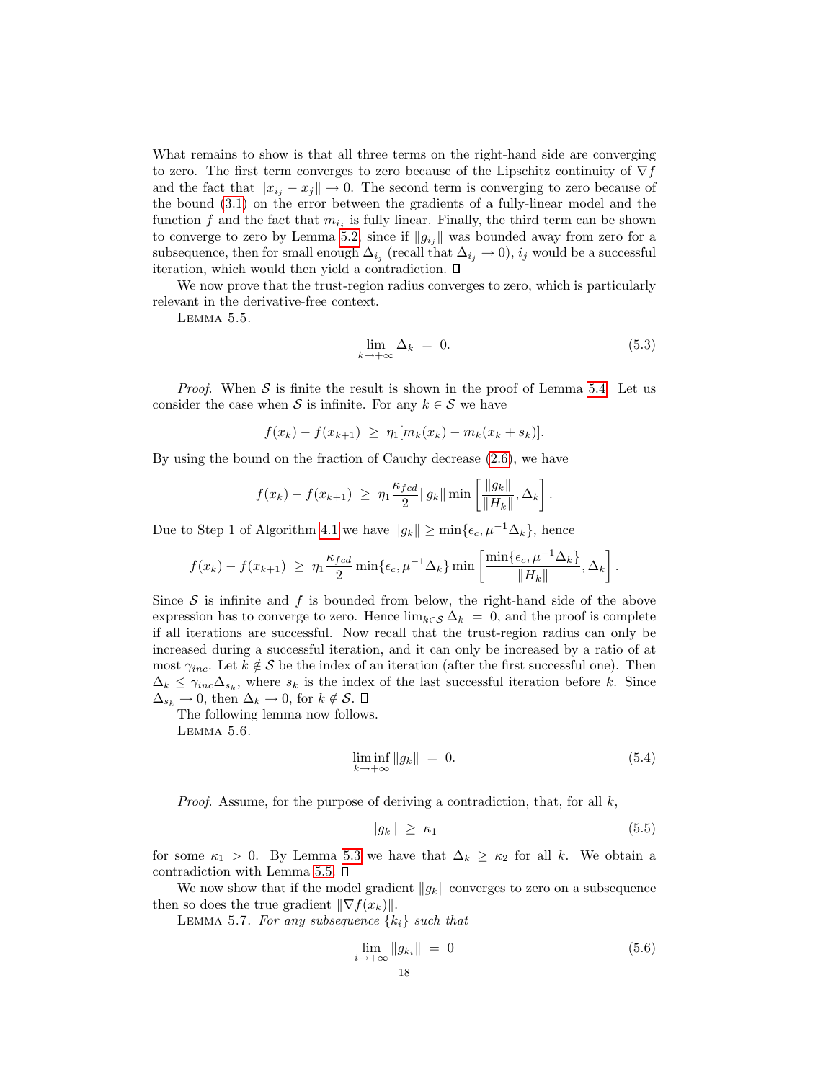What remains to show is that all three terms on the right-hand side are converging to zero. The first term converges to zero because of the Lipschitz continuity of  $\nabla f$ and the fact that  $||x_{i_i} - x_j|| \to 0$ . The second term is converging to zero because of the bound [\(3.1\)](#page-6-2) on the error between the gradients of a fully-linear model and the function f and the fact that  $m_{i_j}$  is fully linear. Finally, the third term can be shown to converge to zero by Lemma [5.2,](#page-15-2) since if  $||g_{i_j}||$  was bounded away from zero for a subsequence, then for small enough  $\Delta_{i_j}$  (recall that  $\Delta_{i_j} \to 0$ ),  $i_j$  would be a successful iteration, which would then yield a contradiction.

We now prove that the trust-region radius converges to zero, which is particularly relevant in the derivative-free context.

<span id="page-17-0"></span>Lemma 5.5.

$$
\lim_{k \to +\infty} \Delta_k = 0. \tag{5.3}
$$

*Proof.* When  $S$  is finite the result is shown in the proof of Lemma [5.4.](#page-16-1) Let us consider the case when S is infinite. For any  $k \in S$  we have

$$
f(x_k) - f(x_{k+1}) \geq \eta_1[m_k(x_k) - m_k(x_k + s_k)].
$$

By using the bound on the fraction of Cauchy decrease [\(2.6\)](#page-4-6), we have

$$
f(x_k) - f(x_{k+1}) \ge \eta_1 \frac{\kappa_{fcd}}{2} ||g_k|| \min \left[ \frac{||g_k||}{||H_k||}, \Delta_k \right].
$$

Due to Step 1 of Algorithm [4.1](#page-12-1) we have  $||g_k|| \ge \min{\{\epsilon_c, \mu^{-1}\Delta_k\}}$ , hence

$$
f(x_k) - f(x_{k+1}) \geq \eta_1 \frac{\kappa_{fcd}}{2} \min\{\epsilon_c, \mu^{-1} \Delta_k\} \min\left[\frac{\min\{\epsilon_c, \mu^{-1} \Delta_k\}}{\|H_k\|}, \Delta_k\right].
$$

Since  $S$  is infinite and  $f$  is bounded from below, the right-hand side of the above expression has to converge to zero. Hence  $\lim_{k \in \mathcal{S}} \Delta_k = 0$ , and the proof is complete if all iterations are successful. Now recall that the trust-region radius can only be increased during a successful iteration, and it can only be increased by a ratio of at most  $\gamma_{inc}$ . Let  $k \notin S$  be the index of an iteration (after the first successful one). Then  $\Delta_k \leq \gamma_{inc} \Delta_{s_k}$ , where  $s_k$  is the index of the last successful iteration before k. Since  $\Delta_{s_k}$  → 0, then  $\Delta_k$  → 0, for  $k \notin \mathcal{S}$ . □

The following lemma now follows.

<span id="page-17-2"></span>Lemma 5.6.

$$
\liminf_{k \to +\infty} \|g_k\| = 0. \tag{5.4}
$$

*Proof.* Assume, for the purpose of deriving a contradiction, that, for all  $k$ ,

$$
||g_k|| \ge \kappa_1 \tag{5.5}
$$

for some  $\kappa_1 > 0$ . By Lemma [5.3](#page-16-2) we have that  $\Delta_k \geq \kappa_2$  for all k. We obtain a contradiction with Lemma [5.5.](#page-17-0)

We now show that if the model gradient  $||g_k||$  converges to zero on a subsequence then so does the true gradient  $\|\nabla f(x_k)\|.$ 

<span id="page-17-3"></span>LEMMA 5.7. For any subsequence  $\{k_i\}$  such that

<span id="page-17-1"></span>
$$
\lim_{i \to +\infty} \|g_{k_i}\| = 0 \tag{5.6}
$$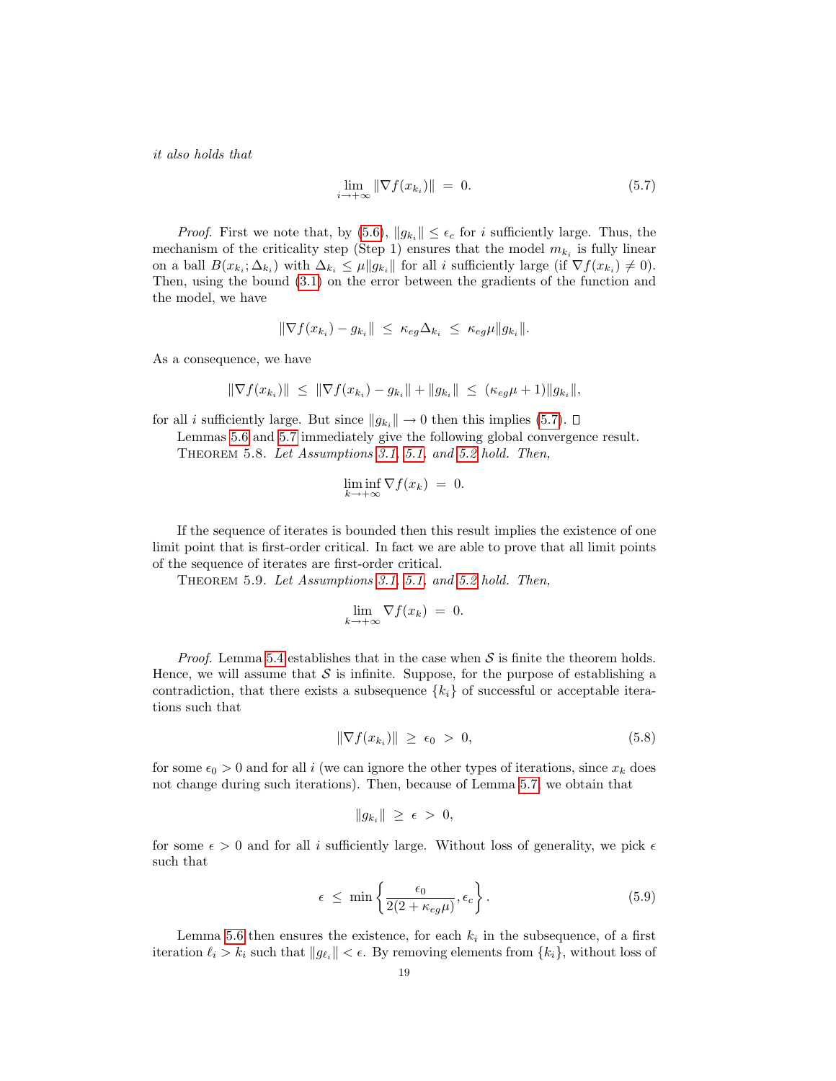it also holds that

<span id="page-18-0"></span>
$$
\lim_{i \to +\infty} \|\nabla f(x_{k_i})\| = 0. \tag{5.7}
$$

*Proof.* First we note that, by [\(5.6\)](#page-17-1),  $||g_{k_i}|| \leq \epsilon_c$  for i sufficiently large. Thus, the mechanism of the criticality step (Step 1) ensures that the model  $m_{k_i}$  is fully linear on a ball  $B(x_{k_i}; \Delta_{k_i})$  with  $\Delta_{k_i} \leq \mu \|g_{k_i}\|$  for all i sufficiently large (if  $\nabla f(x_{k_i}) \neq 0$ ). Then, using the bound [\(3.1\)](#page-6-2) on the error between the gradients of the function and the model, we have

$$
\|\nabla f(x_{k_i}) - g_{k_i}\| \leq \kappa_{eg} \Delta_{k_i} \leq \kappa_{eg} \mu \|g_{k_i}\|.
$$

As a consequence, we have

$$
\|\nabla f(x_{k_i})\| \leq \|\nabla f(x_{k_i}) - g_{k_i}\| + \|g_{k_i}\| \leq (\kappa_{eg}\mu + 1) \|g_{k_i}\|,
$$

for all *i* sufficiently large. But since  $||g_{k_i}|| \to 0$  then this implies [\(5.7\)](#page-18-0).  $\Box$ 

Lemmas [5.6](#page-17-2) and [5.7](#page-17-3) immediately give the following global convergence result. Theorem 5.8. Let Assumptions [3.1,](#page-6-0) [5.1,](#page-15-0) and [5.2](#page-15-3) hold. Then,

$$
\liminf_{k \to +\infty} \nabla f(x_k) = 0.
$$

If the sequence of iterates is bounded then this result implies the existence of one limit point that is first-order critical. In fact we are able to prove that all limit points of the sequence of iterates are first-order critical.

<span id="page-18-3"></span>THEOREM 5.9. Let Assumptions [3.1,](#page-6-0) [5.1,](#page-15-0) and [5.2](#page-15-3) hold. Then,

$$
\lim_{k \to +\infty} \nabla f(x_k) = 0.
$$

*Proof.* Lemma [5.4](#page-16-1) establishes that in the case when  $S$  is finite the theorem holds. Hence, we will assume that  $\mathcal S$  is infinite. Suppose, for the purpose of establishing a contradiction, that there exists a subsequence  $\{k_i\}$  of successful or acceptable iterations such that

<span id="page-18-1"></span>
$$
\|\nabla f(x_{k_i})\| \ge \epsilon_0 > 0,\tag{5.8}
$$

for some  $\epsilon_0 > 0$  and for all i (we can ignore the other types of iterations, since  $x_k$  does not change during such iterations). Then, because of Lemma [5.7,](#page-17-3) we obtain that

$$
||g_{k_i}|| \geq \epsilon > 0,
$$

<span id="page-18-2"></span>for some  $\epsilon > 0$  and for all i sufficiently large. Without loss of generality, we pick  $\epsilon$ such that

$$
\epsilon \leq \min\left\{\frac{\epsilon_0}{2(2 + \kappa_{eg}\mu)}, \epsilon_c\right\}.
$$
\n(5.9)

Lemma [5.6](#page-17-2) then ensures the existence, for each  $k_i$  in the subsequence, of a first iteration  $\ell_i > k_i$  such that  $||g_{\ell_i}|| < \epsilon$ . By removing elements from  $\{k_i\}$ , without loss of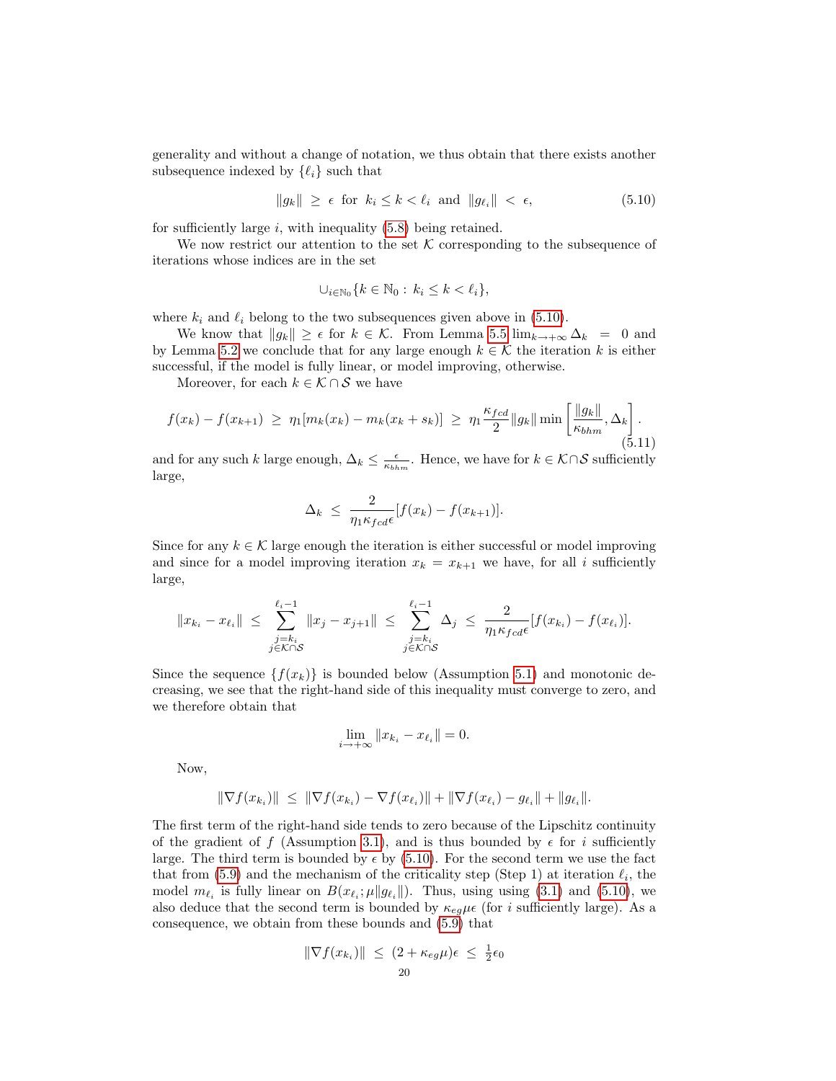generality and without a change of notation, we thus obtain that there exists another subsequence indexed by  $\{\ell_i\}$  such that

<span id="page-19-0"></span>
$$
||g_k|| \ge \epsilon \text{ for } k_i \le k < \ell_i \text{ and } ||g_{\ell_i}|| < \epsilon,\tag{5.10}
$$

for sufficiently large  $i$ , with inequality  $(5.8)$  being retained.

We now restrict our attention to the set  $K$  corresponding to the subsequence of iterations whose indices are in the set

$$
\cup_{i\in\mathbb{N}_0}\{k\in\mathbb{N}_0:\,k_i\leq k<\ell_i\},\
$$

where  $k_i$  and  $\ell_i$  belong to the two subsequences given above in [\(5.10\)](#page-19-0).

We know that  $||g_k|| \geq \epsilon$  for  $k \in \mathcal{K}$ . From Lemma [5.5](#page-17-0)  $\lim_{k \to +\infty} \Delta_k = 0$  and by Lemma [5.2](#page-15-2) we conclude that for any large enough  $k \in \mathcal{K}$  the iteration k is either successful, if the model is fully linear, or model improving, otherwise.

Moreover, for each  $k \in \mathcal{K} \cap \mathcal{S}$  we have

$$
f(x_k) - f(x_{k+1}) \ge \eta_1[m_k(x_k) - m_k(x_k + s_k)] \ge \eta_1 \frac{\kappa_{fcd}}{2} \|g_k\| \min\left[\frac{\|g_k\|}{\kappa_{bhm}}, \Delta_k\right].
$$
\n(5.11)

and for any such k large enough,  $\Delta_k \leq \frac{\epsilon}{\kappa_{bhm}}$ . Hence, we have for  $k \in \mathcal{K} \cap \mathcal{S}$  sufficiently large,

$$
\Delta_k \leq \frac{2}{\eta_1 \kappa_{fcd} \epsilon} [f(x_k) - f(x_{k+1})].
$$

Since for any  $k \in \mathcal{K}$  large enough the iteration is either successful or model improving and since for a model improving iteration  $x_k = x_{k+1}$  we have, for all i sufficiently large,

$$
||x_{k_i}-x_{\ell_i}|| \leq \sum_{\substack{j=k_i\\j\in\mathcal{K}\cap\mathcal{S}}}^{\ell_i-1} ||x_j-x_{j+1}|| \leq \sum_{\substack{j=k_i\\j\in\mathcal{K}\cap\mathcal{S}}}^{\ell_i-1} \Delta_j \leq \frac{2}{\eta_1\kappa_{fcd}\epsilon}[f(x_{k_i})-f(x_{\ell_i})].
$$

Since the sequence  $\{f(x_k)\}\$ is bounded below (Assumption [5.1\)](#page-15-0) and monotonic decreasing, we see that the right-hand side of this inequality must converge to zero, and we therefore obtain that

$$
\lim_{i \to +\infty} \|x_{k_i} - x_{\ell_i}\| = 0.
$$

Now,

$$
\|\nabla f(x_{k_i})\| \leq \|\nabla f(x_{k_i}) - \nabla f(x_{\ell_i})\| + \|\nabla f(x_{\ell_i}) - g_{\ell_i}\| + \|g_{\ell_i}\|.
$$

The first term of the right-hand side tends to zero because of the Lipschitz continuity of the gradient of f (Assumption [3.1\)](#page-6-0), and is thus bounded by  $\epsilon$  for i sufficiently large. The third term is bounded by  $\epsilon$  by [\(5.10\)](#page-19-0). For the second term we use the fact that from [\(5.9\)](#page-18-2) and the mechanism of the criticality step (Step 1) at iteration  $\ell_i$ , the model  $m_{\ell_i}$  is fully linear on  $B(x_{\ell_i}; \mu \| g_{\ell_i} \|)$ . Thus, using using [\(3.1\)](#page-6-2) and [\(5.10\)](#page-19-0), we also deduce that the second term is bounded by  $\kappa_{eg}\mu\epsilon$  (for *i* sufficiently large). As a consequence, we obtain from these bounds and [\(5.9\)](#page-18-2) that

$$
\|\nabla f(x_{k_i})\| \le (2 + \kappa_{eg}\mu)\epsilon \le \frac{1}{2}\epsilon_0
$$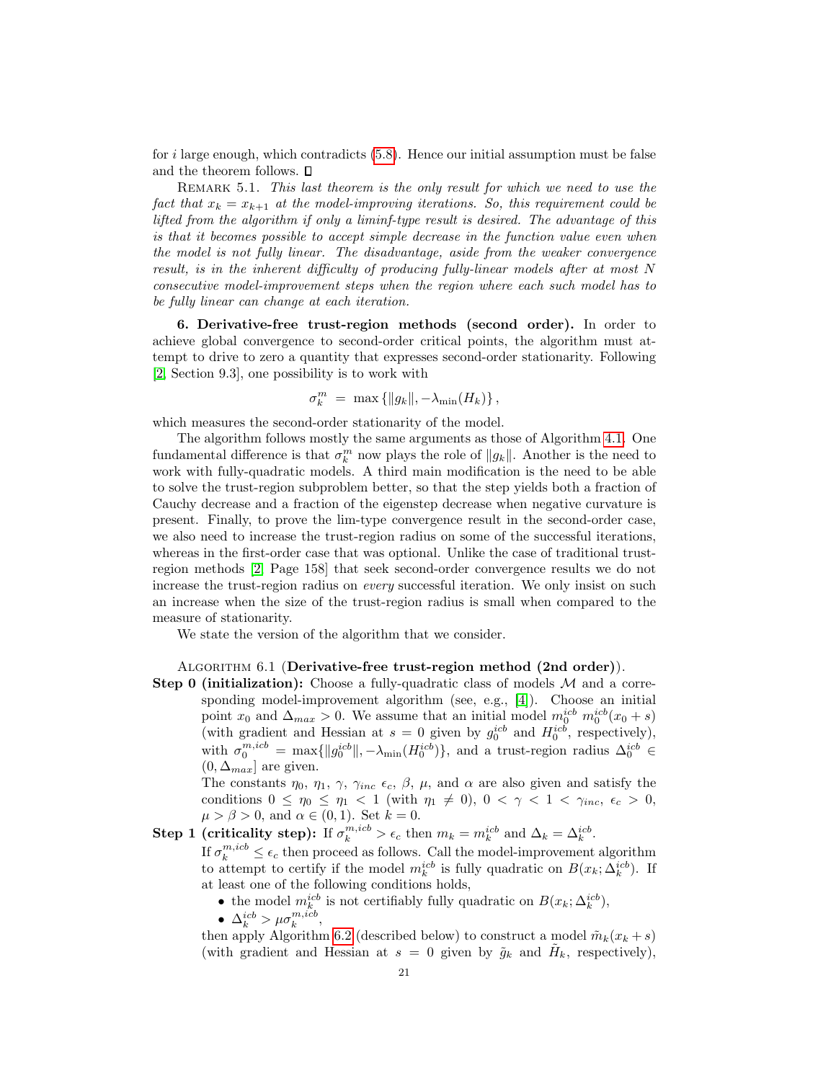for i large enough, which contradicts  $(5.8)$ . Hence our initial assumption must be false and the theorem follows.  $\square$ 

<span id="page-20-2"></span>REMARK 5.1. This last theorem is the only result for which we need to use the fact that  $x_k = x_{k+1}$  at the model-improving iterations. So, this requirement could be lifted from the algorithm if only a liminf-type result is desired. The advantage of this is that it becomes possible to accept simple decrease in the function value even when the model is not fully linear. The disadvantage, aside from the weaker convergence result, is in the inherent difficulty of producing fully-linear models after at most N consecutive model-improvement steps when the region where each such model has to be fully linear can change at each iteration.

<span id="page-20-0"></span>6. Derivative-free trust-region methods (second order). In order to achieve global convergence to second-order critical points, the algorithm must attempt to drive to zero a quantity that expresses second-order stationarity. Following [\[2,](#page-28-0) Section 9.3], one possibility is to work with

$$
\sigma_k^m = \max\left\{||g_k||, -\lambda_{\min}(H_k)\right\},\,
$$

which measures the second-order stationarity of the model.

The algorithm follows mostly the same arguments as those of Algorithm [4.1.](#page-12-1) One fundamental difference is that  $\sigma_k^m$  now plays the role of  $||g_k||$ . Another is the need to work with fully-quadratic models. A third main modification is the need to be able to solve the trust-region subproblem better, so that the step yields both a fraction of Cauchy decrease and a fraction of the eigenstep decrease when negative curvature is present. Finally, to prove the lim-type convergence result in the second-order case, we also need to increase the trust-region radius on some of the successful iterations, whereas in the first-order case that was optional. Unlike the case of traditional trustregion methods [\[2,](#page-28-0) Page 158] that seek second-order convergence results we do not increase the trust-region radius on *every* successful iteration. We only insist on such an increase when the size of the trust-region radius is small when compared to the measure of stationarity.

<span id="page-20-1"></span>We state the version of the algorithm that we consider.

## ALGORITHM 6.1 (Derivative-free trust-region method (2nd order)).

**Step 0 (initialization):** Choose a fully-quadratic class of models  $M$  and a corresponding model-improvement algorithm (see, e.g., [\[4\]](#page-28-6)). Choose an initial point  $x_0$  and  $\Delta_{max} > 0$ . We assume that an initial model  $m_0^{icb} m_0^{icb}(x_0 + s)$ (with gradient and Hessian at  $s = 0$  given by  $g_0^{icb}$  and  $H_0^{icb}$ , respectively), with  $\sigma_0^{m,icb} = \max{\{\|g_0^{icb}\|, -\lambda_{\min}(H_0^{icb})\}}$ , and a trust-region radius  $\Delta_0^{icb} \in$  $(0, \Delta_{max}]$  are given.

The constants  $\eta_0$ ,  $\eta_1$ ,  $\gamma$ ,  $\gamma_{inc}$   $\epsilon_c$ ,  $\beta$ ,  $\mu$ , and  $\alpha$  are also given and satisfy the conditions  $0 \leq \eta_0 \leq \eta_1 < 1$  (with  $\eta_1 \neq 0$ ),  $0 < \gamma < 1 < \gamma_{inc}, \epsilon_c > 0$ ,  $\mu > \beta > 0$ , and  $\alpha \in (0,1)$ . Set  $k = 0$ .

Step 1 (criticality step): If  $\sigma_k^{m,icb} > \epsilon_c$  then  $m_k = m_k^{icb}$  and  $\Delta_k = \Delta_k^{icb}$ .

If  $\sigma_k^{m,icb} \leq \epsilon_c$  then proceed as follows. Call the model-improvement algorithm to attempt to certify if the model  $m_k^{icb}$  is fully quadratic on  $B(x_k; \Delta_k^{icb})$ . If at least one of the following conditions holds,

- the model  $m_k^{icb}$  is not certifiably fully quadratic on  $B(x_k; \Delta_k^{icb})$ ,
- $\Delta_k^{icb} > \mu \sigma_k^{m, icb}$ ,

then apply Algorithm [6.2](#page-22-1) (described below) to construct a model  $\tilde{m}_k(x_k + s)$ (with gradient and Hessian at  $s = 0$  given by  $\tilde{g}_k$  and  $\tilde{H}_k$ , respectively),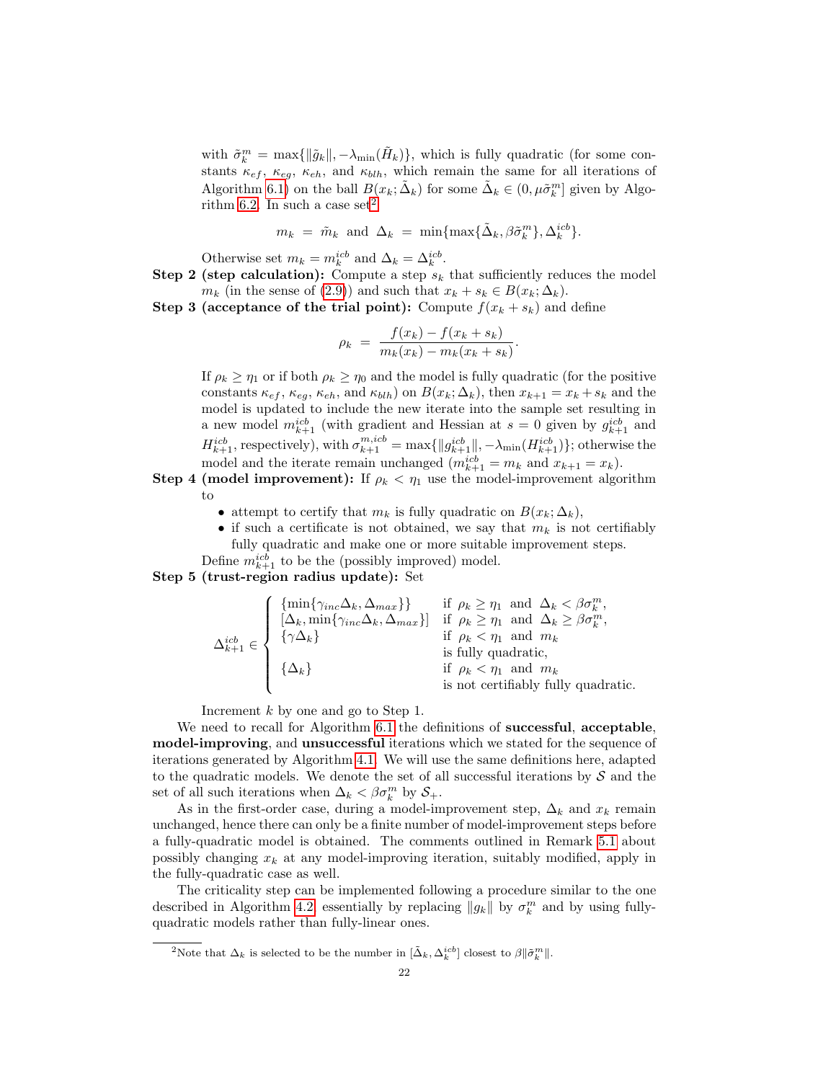with  $\tilde{\sigma}_k^m = \max{\{\|\tilde{g}_k\|, -\lambda_{\min}(\tilde{H}_k)\}\}\$ , which is fully quadratic (for some constants  $\kappa_{ef}$ ,  $\kappa_{eg}$ ,  $\kappa_{eh}$ , and  $\kappa_{blh}$ , which remain the same for all iterations of Algorithm [6.1\)](#page-20-1) on the ball  $B(x_k; \tilde{\Delta}_k)$  for some  $\tilde{\Delta}_k \in (0, \mu \tilde{\sigma}_k^m]$  given by Algo-rithm [6.2.](#page-22-1) In such a case set<sup>[2](#page-21-0)</sup>

$$
m_k = \tilde{m}_k
$$
 and  $\Delta_k = \min\{\max\{\tilde{\Delta}_k, \beta \tilde{\sigma}_k^m\}, \Delta_k^{icb}\}.$ 

Otherwise set  $m_k = m_k^{icb}$  and  $\Delta_k = \Delta_k^{icb}$ .

- **Step 2 (step calculation):** Compute a step  $s_k$  that sufficiently reduces the model  $m_k$  (in the sense of [\(2.9\)](#page-5-2)) and such that  $x_k + s_k \in B(x_k; \Delta_k)$ .
- **Step 3 (acceptance of the trial point):** Compute  $f(x_k + s_k)$  and define

$$
\rho_k = \frac{f(x_k) - f(x_k + s_k)}{m_k(x_k) - m_k(x_k + s_k)}
$$

.

If  $\rho_k \geq \eta_1$  or if both  $\rho_k \geq \eta_0$  and the model is fully quadratic (for the positive constants  $\kappa_{ef}$ ,  $\kappa_{eg}$ ,  $\kappa_{eh}$ , and  $\kappa_{blh}$ ) on  $B(x_k; \Delta_k)$ , then  $x_{k+1} = x_k + s_k$  and the model is updated to include the new iterate into the sample set resulting in a new model  $m_{k+1}^{icb}$  (with gradient and Hessian at  $s=0$  given by  $g_{k+1}^{icb}$  and  $H_{k+1}^{icb}$ , respectively), with  $\sigma_{k+1}^{m,icb} = \max{\{\|g_{k+1}^{icb}\|, -\lambda_{\min}(H_{k+1}^{icb})\}}$ ; otherwise the model and the iterate remain unchanged  $(m_{k+1}^{icb} = m_k$  and  $x_{k+1} = x_k$ ).

- **Step 4 (model improvement):** If  $\rho_k < \eta_1$  use the model-improvement algorithm to
	- attempt to certify that  $m_k$  is fully quadratic on  $B(x_k; \Delta_k)$ ,
	- if such a certificate is not obtained, we say that  $m_k$  is not certifiably fully quadratic and make one or more suitable improvement steps.
	- Define  $m_{k+1}^{icb}$  to be the (possibly improved) model.

# Step 5 (trust-region radius update): Set

$$
\Delta_{k+1}^{icb} \in \left\{ \begin{array}{ll} \{\min\{\gamma_{inc}\Delta_k, \Delta_{max}\}\} & \text{if } \rho_k \ge \eta_1 \text{ and } \Delta_k < \beta \sigma_k^m, \\ [\Delta_k, \min\{\gamma_{inc}\Delta_k, \Delta_{max}\}] & \text{if } \rho_k \ge \eta_1 \text{ and } \Delta_k \ge \beta \sigma_k^m, \\ \{\gamma\Delta_k\} & \text{if } \rho_k < \eta_1 \text{ and } m_k \\ & \text{is fully quadratic,} \\ \{\Delta_k\} & \text{if } \rho_k < \eta_1 \text{ and } m_k \\ & \text{is not certainly fully quadratic.} \end{array} \right.
$$

Increment  $k$  by one and go to Step 1.

We need to recall for Algorithm [6.1](#page-20-1) the definitions of **successful**, **acceptable**, model-improving, and unsuccessful iterations which we stated for the sequence of iterations generated by Algorithm [4.1.](#page-12-1) We will use the same definitions here, adapted to the quadratic models. We denote the set of all successful iterations by  $\mathcal S$  and the set of all such iterations when  $\Delta_k < \beta \sigma_k^m$  by  $S_+$ .

As in the first-order case, during a model-improvement step,  $\Delta_k$  and  $x_k$  remain unchanged, hence there can only be a finite number of model-improvement steps before a fully-quadratic model is obtained. The comments outlined in Remark [5.1](#page-20-2) about possibly changing  $x_k$  at any model-improving iteration, suitably modified, apply in the fully-quadratic case as well.

The criticality step can be implemented following a procedure similar to the one described in Algorithm [4.2,](#page-13-0) essentially by replacing  $||g_k||$  by  $\sigma_k^m$  and by using fullyquadratic models rather than fully-linear ones.

<span id="page-21-0"></span><sup>&</sup>lt;sup>2</sup>Note that  $\Delta_k$  is selected to be the number in  $[\tilde{\Delta}_k, \Delta_k^{icb}]$  closest to  $\beta \|\tilde{\sigma}_k^m\|$ .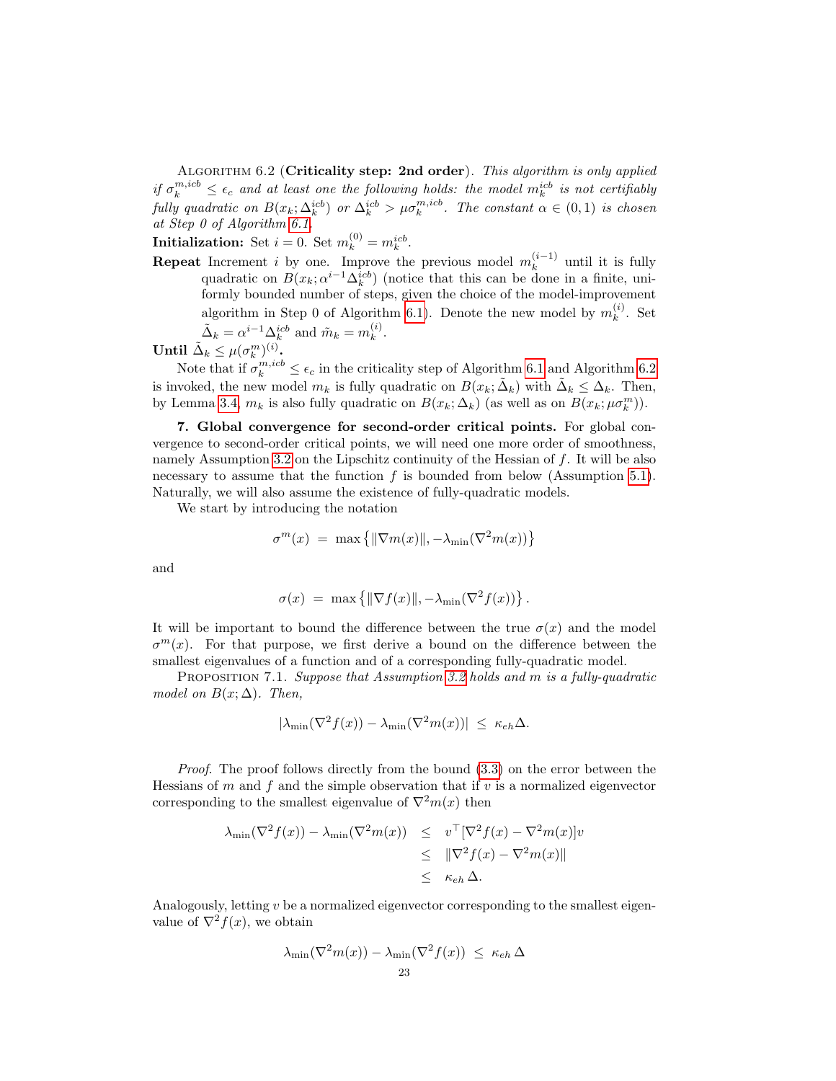<span id="page-22-1"></span>ALGORITHM 6.2 (Criticality step: 2nd order). This algorithm is only applied if  $\sigma_k^{m,icb} \leq \epsilon_c$  and at least one the following holds: the model  $m_k^{icb}$  is not certifiably fully quadratic on  $B(x_k; \Delta_k^{icb})$  or  $\Delta_k^{icb} > \mu \sigma_k^{m, icb}$ . The constant  $\alpha \in (0,1)$  is chosen at Step 0 of Algorithm [6.1.](#page-20-1)

**Initialization:** Set  $i = 0$ . Set  $m_k^{(0)} = m_k^{icb}$ .

**Repeat** Increment *i* by one. Improve the previous model  $m_k^{(i-1)}$  $\binom{n-1}{k}$  until it is fully quadratic on  $B(x_k; \alpha^{i-1}\Delta_k^{icb})$  (notice that this can be done in a finite, uniformly bounded number of steps, given the choice of the model-improvement algorithm in Step 0 of Algorithm [6.1\)](#page-20-1). Denote the new model by  $m_k^{(i)}$  $\mathbf{k}^{(i)}$ . Set  $\tilde{\Delta}_k = \alpha^{i-1} \Delta_k^{icb}$  and  $\tilde{m}_k = m_k^{(i)}$  $\frac{u}{k}$ .

Until 
$$
\tilde{\Delta}_k \leq \mu(\sigma_k^m)^{(i)}
$$
.

Note that if  $\sigma_k^{m,icb} \leq \epsilon_c$  in the criticality step of Algorithm [6.1](#page-20-1) and Algorithm [6.2](#page-22-1) is invoked, the new model  $m_k$  is fully quadratic on  $B(x_k; \tilde{\Delta}_k)$  with  $\tilde{\Delta}_k \leq \Delta_k$ . Then, by Lemma [3.4,](#page-8-0)  $m_k$  is also fully quadratic on  $B(x_k; \Delta_k)$  (as well as on  $B(x_k; \mu \sigma_k^m)$ ).

<span id="page-22-0"></span>7. Global convergence for second-order critical points. For global convergence to second-order critical points, we will need one more order of smoothness, namely Assumption [3.2](#page-8-1) on the Lipschitz continuity of the Hessian of f. It will be also necessary to assume that the function  $f$  is bounded from below (Assumption [5.1\)](#page-15-0). Naturally, we will also assume the existence of fully-quadratic models.

We start by introducing the notation

$$
\sigma^m(x) = \max \{ ||\nabla m(x)||, -\lambda_{\min}(\nabla^2 m(x)) \}
$$

and

$$
\sigma(x) = \max \{ ||\nabla f(x)||, -\lambda_{\min}(\nabla^2 f(x)) \}.
$$

It will be important to bound the difference between the true  $\sigma(x)$  and the model  $\sigma^{m}(x)$ . For that purpose, we first derive a bound on the difference between the smallest eigenvalues of a function and of a corresponding fully-quadratic model.

<span id="page-22-2"></span>PROPOSITION 7.1. Suppose that Assumption [3.2](#page-8-1) holds and m is a fully-quadratic model on  $B(x; \Delta)$ . Then,

$$
|\lambda_{\min}(\nabla^2 f(x)) - \lambda_{\min}(\nabla^2 m(x))| \le \kappa_{eh} \Delta.
$$

Proof. The proof follows directly from the bound [\(3.3\)](#page-8-2) on the error between the Hessians of m and f and the simple observation that if v is a normalized eigenvector corresponding to the smallest eigenvalue of  $\nabla^2 m(x)$  then

$$
\lambda_{\min}(\nabla^2 f(x)) - \lambda_{\min}(\nabla^2 m(x)) \leq v^{\top} [\nabla^2 f(x) - \nabla^2 m(x)]v
$$
  
\n
$$
\leq \|\nabla^2 f(x) - \nabla^2 m(x)\|
$$
  
\n
$$
\leq \kappa_{eh} \Delta.
$$

Analogously, letting  $v$  be a normalized eigenvector corresponding to the smallest eigenvalue of  $\nabla^2 f(x)$ , we obtain

$$
\lambda_{\min}(\nabla^2 m(x)) - \lambda_{\min}(\nabla^2 f(x)) \le \kappa_{eh} \,\Delta
$$
  
23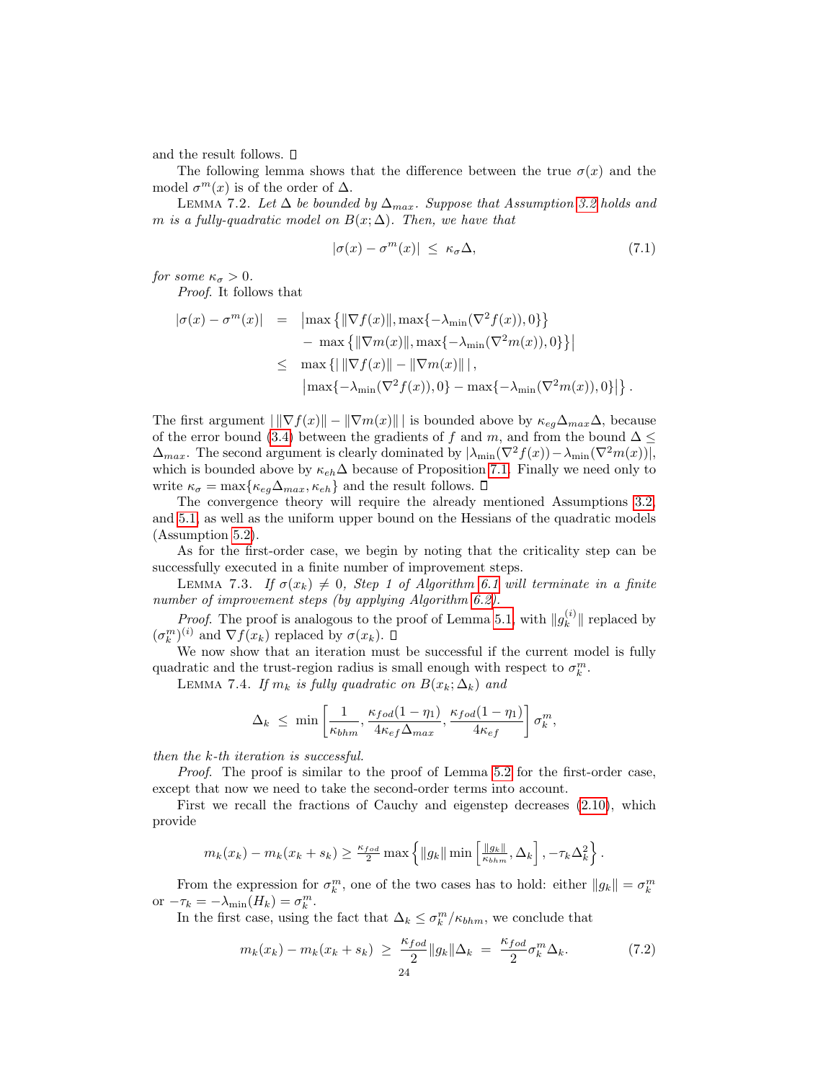and the result follows.  $\square$ 

The following lemma shows that the difference between the true  $\sigma(x)$  and the model  $\sigma^m(x)$  is of the order of  $\Delta$ .

<span id="page-23-2"></span>LEMMA 7.2. Let  $\Delta$  be bounded by  $\Delta_{max}$ . Suppose that Assumption [3.2](#page-8-1) holds and m is a fully-quadratic model on  $B(x; \Delta)$ . Then, we have that

<span id="page-23-3"></span>
$$
|\sigma(x) - \sigma^m(x)| \le \kappa_{\sigma} \Delta, \tag{7.1}
$$

for some  $\kappa_{\sigma} > 0$ .

Proof. It follows that

$$
|\sigma(x) - \sigma^m(x)| = |\max \{ ||\nabla f(x)||, \max\{-\lambda_{\min}(\nabla^2 f(x)), 0\} \} - \max \{ ||\nabla m(x)||, \max\{-\lambda_{\min}(\nabla^2 m(x)), 0\} \} |
$$
  

$$
\leq \max \{ ||\nabla f(x)|| - ||\nabla m(x)|| \},
$$
  

$$
|\max\{-\lambda_{\min}(\nabla^2 f(x)), 0\} - \max\{-\lambda_{\min}(\nabla^2 m(x)), 0\} | \}.
$$

The first argument  $\|\nabla f(x)\| - \|\nabla m(x)\|$  is bounded above by  $\kappa_{eg}\Delta_{max}\Delta$ , because of the error bound [\(3.4\)](#page-8-5) between the gradients of f and m, and from the bound  $\Delta \leq$  $\Delta_{max}$ . The second argument is clearly dominated by  $|\lambda_{min}(\nabla^2 f(x)) - \lambda_{min}(\nabla^2 m(x))|$ , which is bounded above by  $\kappa_{eh} \Delta$  because of Proposition [7.1.](#page-22-2) Finally we need only to write  $\kappa_{\sigma} = \max\{\kappa_{eg}\Delta_{max}, \kappa_{eh}\}\$ and the result follows.  $\square$ 

The convergence theory will require the already mentioned Assumptions [3.2,](#page-8-1) and [5.1,](#page-15-0) as well as the uniform upper bound on the Hessians of the quadratic models (Assumption [5.2\)](#page-15-3).

As for the first-order case, we begin by noting that the criticality step can be successfully executed in a finite number of improvement steps.

LEMMA 7.3. If  $\sigma(x_k) \neq 0$ , Step 1 of Algorithm [6.1](#page-20-1) will terminate in a finite number of improvement steps (by applying Algorithm [6.2\)](#page-22-1).

*Proof.* The proof is analogous to the proof of Lemma [5.1,](#page-14-1) with  $||g_k^{(i)}||$  $\binom{k}{k}$  replaced by  $(\sigma_k^m)^{(i)}$  and  $\nabla f(x_k)$  replaced by  $\sigma(x_k)$ .

We now show that an iteration must be successful if the current model is fully quadratic and the trust-region radius is small enough with respect to  $\sigma_k^m$ .

<span id="page-23-1"></span>LEMMA 7.4. If  $m_k$  is fully quadratic on  $B(x_k; \Delta_k)$  and

$$
\Delta_k \leq \min\left[\frac{1}{\kappa_{bhm}}, \frac{\kappa_{fod}(1-\eta_1)}{4\kappa_{ef}\Delta_{max}}, \frac{\kappa_{fod}(1-\eta_1)}{4\kappa_{ef}}\right]\sigma_k^m,
$$

then the k-th iteration is successful.

Proof. The proof is similar to the proof of Lemma [5.2](#page-15-2) for the first-order case, except that now we need to take the second-order terms into account.

First we recall the fractions of Cauchy and eigenstep decreases [\(2.10\)](#page-5-3), which provide

$$
m_k(x_k) - m_k(x_k + s_k) \ge \frac{\kappa_{fod}}{2} \max \left\{ \|g_k\| \min \left[\frac{\|g_k\|}{\kappa_{bhm}}, \Delta_k \right], -\tau_k \Delta_k^2 \right\}.
$$

From the expression for  $\sigma_k^m$ , one of the two cases has to hold: either  $||g_k|| = \sigma_k^m$ or  $-\tau_k = -\lambda_{\min}(H_k) = \sigma_k^m$ .

In the first case, using the fact that  $\Delta_k \leq \sigma_k^m / \kappa_{bhm}$ , we conclude that

<span id="page-23-0"></span>
$$
m_k(x_k) - m_k(x_k + s_k) \ge \frac{\kappa_{fod}}{2} \|g_k\|\Delta_k = \frac{\kappa_{fod}}{2} \sigma_k^m \Delta_k.
$$
 (7.2)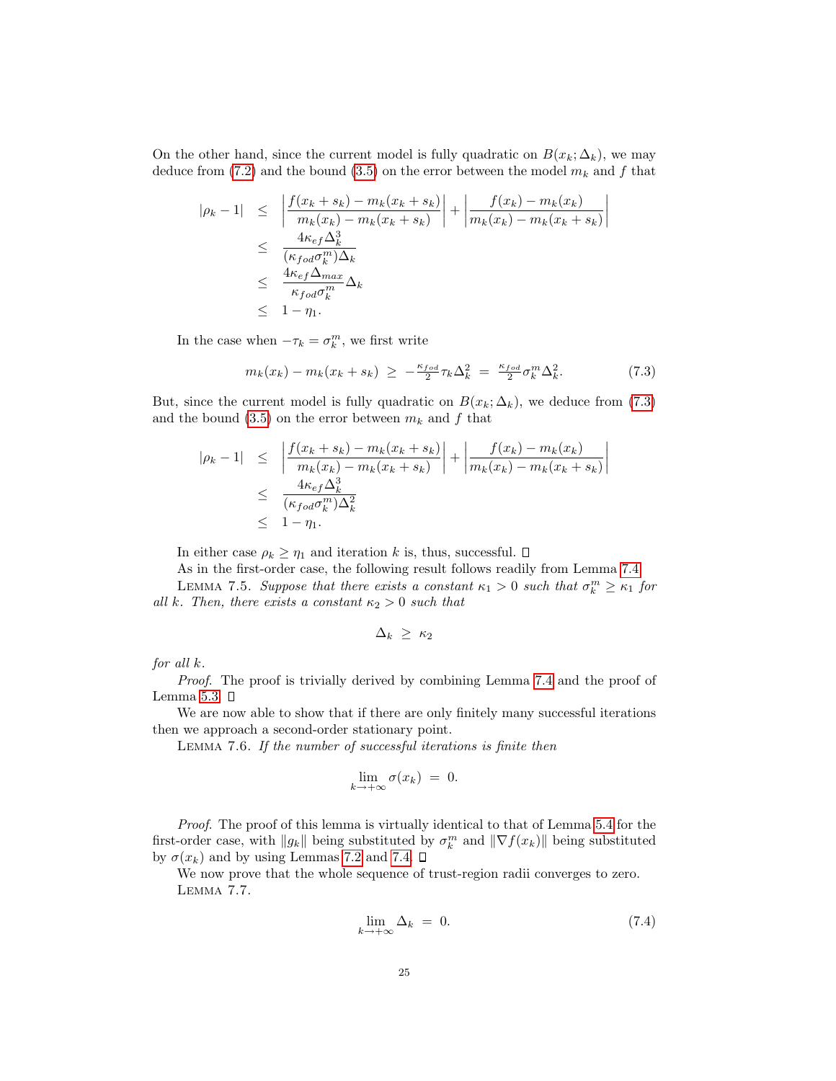On the other hand, since the current model is fully quadratic on  $B(x_k; \Delta_k)$ , we may deduce from [\(7.2\)](#page-23-0) and the bound [\(3.5\)](#page-8-3) on the error between the model  $m_k$  and f that

$$
|\rho_k - 1| \leq \left| \frac{f(x_k + s_k) - m_k(x_k + s_k)}{m_k(x_k) - m_k(x_k + s_k)} \right| + \left| \frac{f(x_k) - m_k(x_k)}{m_k(x_k) - m_k(x_k + s_k)} \right|
$$
  

$$
\leq \frac{4\kappa_{ef}\Delta_k^3}{(\kappa_{fod}\sigma_k^m)\Delta_k}
$$
  

$$
\leq \frac{4\kappa_{ef}\Delta_{max}}{\kappa_{fod}\sigma_k^m}\Delta_k
$$
  

$$
\leq 1 - \eta_1.
$$

In the case when  $-\tau_k = \sigma_k^m$ , we first write

<span id="page-24-0"></span>
$$
m_k(x_k) - m_k(x_k + s_k) \ge -\frac{\kappa_{fod}}{2} \tau_k \Delta_k^2 = \frac{\kappa_{fod}}{2} \sigma_k^m \Delta_k^2. \tag{7.3}
$$

But, since the current model is fully quadratic on  $B(x_k; \Delta_k)$ , we deduce from [\(7.3\)](#page-24-0) and the bound  $(3.5)$  on the error between  $m_k$  and f that

$$
|\rho_k - 1| \leq \left| \frac{f(x_k + s_k) - m_k(x_k + s_k)}{m_k(x_k) - m_k(x_k + s_k)} \right| + \left| \frac{f(x_k) - m_k(x_k)}{m_k(x_k) - m_k(x_k + s_k)} \right|
$$
  

$$
\leq \frac{4\kappa_{\epsilon f} \Delta_k^3}{(\kappa_{\text{fod}} \sigma_k^m) \Delta_k^2}
$$
  

$$
\leq 1 - \eta_1.
$$

In either case  $\rho_k \geq \eta_1$  and iteration k is, thus, successful.  $\Box$ 

As in the first-order case, the following result follows readily from Lemma [7.4.](#page-23-1)

<span id="page-24-1"></span>LEMMA 7.5. Suppose that there exists a constant  $\kappa_1 > 0$  such that  $\sigma_k^m \geq \kappa_1$  for all k. Then, there exists a constant  $\kappa_2 > 0$  such that

$$
\Delta_k \geq \kappa_2
$$

for all k.

Proof. The proof is trivially derived by combining Lemma [7.4](#page-23-1) and the proof of Lemma [5.3.](#page-16-2)  $\Box$ 

We are now able to show that if there are only finitely many successful iterations then we approach a second-order stationary point.

<span id="page-24-3"></span>Lemma 7.6. If the number of successful iterations is finite then

$$
\lim_{k \to +\infty} \sigma(x_k) = 0.
$$

Proof. The proof of this lemma is virtually identical to that of Lemma [5.4](#page-16-1) for the first-order case, with  $||g_k||$  being substituted by  $\sigma_k^m$  and  $||\nabla f(x_k)||$  being substituted by  $\sigma(x_k)$  and by using Lemmas [7.2](#page-23-2) and [7.4.](#page-23-1)  $\Box$ 

We now prove that the whole sequence of trust-region radii converges to zero. Lemma 7.7.

<span id="page-24-2"></span>
$$
\lim_{k \to +\infty} \Delta_k = 0. \tag{7.4}
$$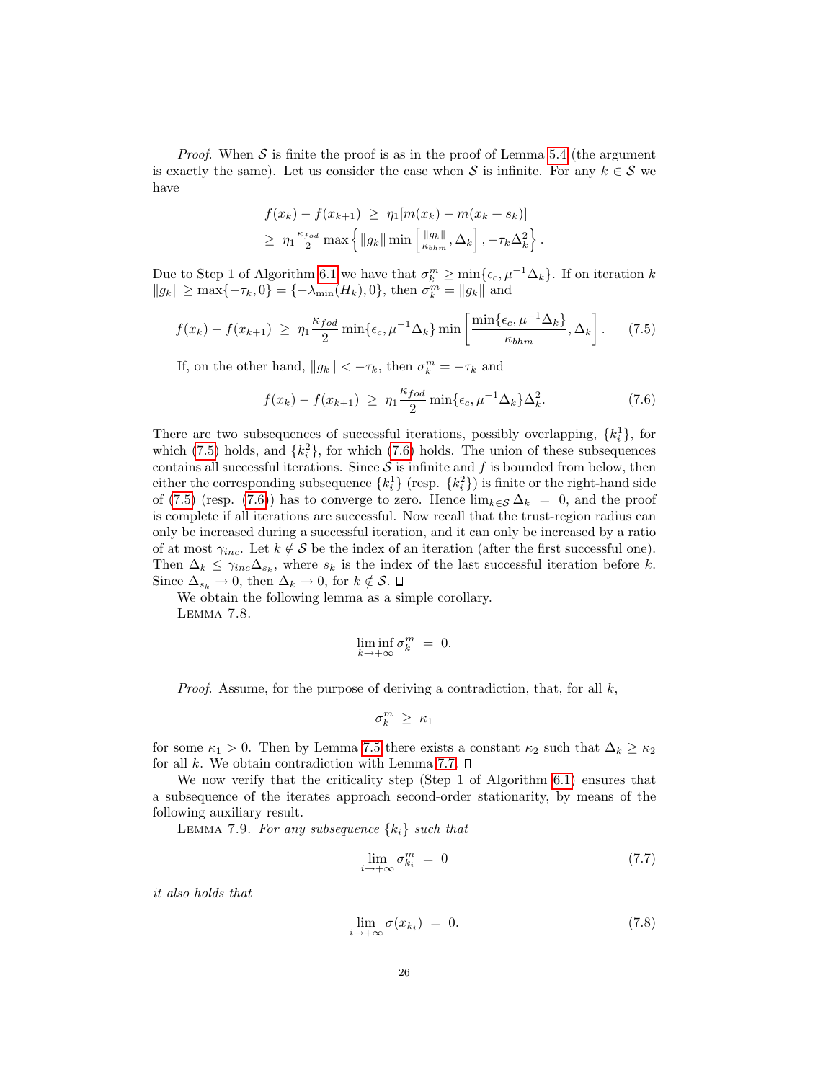*Proof.* When  $S$  is finite the proof is as in the proof of Lemma [5.4](#page-16-1) (the argument is exactly the same). Let us consider the case when S is infinite. For any  $k \in S$  we have

<span id="page-25-0"></span>
$$
f(x_k) - f(x_{k+1}) \geq \eta_1[m(x_k) - m(x_k + s_k)]
$$
  
\n
$$
\geq \eta_1 \frac{\kappa_{fod}}{2} \max \left\{ ||g_k|| \min \left[ \frac{||g_k||}{\kappa_{bhm}}, \Delta_k \right], -\tau_k \Delta_k^2 \right\}.
$$

Due to Step 1 of Algorithm [6.1](#page-20-1) we have that  $\sigma_k^m \ge \min\{\epsilon_c, \mu^{-1}\Delta_k\}$ . If on iteration k  $||g_k|| \ge \max\{-\tau_k, 0\} = \{-\lambda_{\min}(H_k), 0\}$ , then  $\sigma_k^m = ||g_k||$  and

$$
f(x_k) - f(x_{k+1}) \ge \eta_1 \frac{\kappa_{fod}}{2} \min\{\epsilon_c, \mu^{-1} \Delta_k\} \min\left[\frac{\min\{\epsilon_c, \mu^{-1} \Delta_k\}}{\kappa_{bhm}}, \Delta_k\right].
$$
 (7.5)

If, on the other hand,  $||g_k|| < -\tau_k$ , then  $\sigma_k^m = -\tau_k$  and

<span id="page-25-1"></span>
$$
f(x_k) - f(x_{k+1}) \ge \eta_1 \frac{\kappa_{fod}}{2} \min\{\epsilon_c, \mu^{-1} \Delta_k\} \Delta_k^2.
$$
 (7.6)

There are two subsequences of successful iterations, possibly overlapping,  $\{k_i^1\}$ , for which [\(7.5\)](#page-25-0) holds, and  $\{k_i^2\}$ , for which [\(7.6\)](#page-25-1) holds. The union of these subsequences contains all successful iterations. Since  $S$  is infinite and  $f$  is bounded from below, then either the corresponding subsequence  $\{k_i^1\}$  (resp.  $\{k_i^2\}$ ) is finite or the right-hand side of [\(7.5\)](#page-25-0) (resp. [\(7.6\)](#page-25-1)) has to converge to zero. Hence  $\lim_{k\in\mathcal{S}}\Delta_k = 0$ , and the proof is complete if all iterations are successful. Now recall that the trust-region radius can only be increased during a successful iteration, and it can only be increased by a ratio of at most  $\gamma_{inc}$ . Let  $k \notin S$  be the index of an iteration (after the first successful one). Then  $\Delta_k \leq \gamma_{inc} \Delta_{s_k}$ , where  $s_k$  is the index of the last successful iteration before k. Since  $\Delta_{s_k} \to 0$ , then  $\Delta_k \to 0$ , for  $k \notin \mathcal{S}$ .  $\square$ 

<span id="page-25-4"></span>We obtain the following lemma as a simple corollary. Lemma 7.8.

$$
\liminf_{k \to +\infty} \sigma_k^m = 0.
$$

*Proof.* Assume, for the purpose of deriving a contradiction, that, for all  $k$ ,

$$
\sigma^m_k~\ge~\kappa_1
$$

for some  $\kappa_1 > 0$ . Then by Lemma [7.5](#page-24-1) there exists a constant  $\kappa_2$  such that  $\Delta_k \geq \kappa_2$ for all  $k$ . We obtain contradiction with Lemma [7.7.](#page-24-2)  $\square$ 

We now verify that the criticality step (Step 1 of Algorithm [6.1\)](#page-20-1) ensures that a subsequence of the iterates approach second-order stationarity, by means of the following auxiliary result.

<span id="page-25-5"></span>LEMMA 7.9. For any subsequence  $\{k_i\}$  such that

<span id="page-25-2"></span>
$$
\lim_{i \to +\infty} \sigma_{k_i}^m = 0 \tag{7.7}
$$

it also holds that

<span id="page-25-3"></span>
$$
\lim_{i \to +\infty} \sigma(x_{k_i}) = 0. \tag{7.8}
$$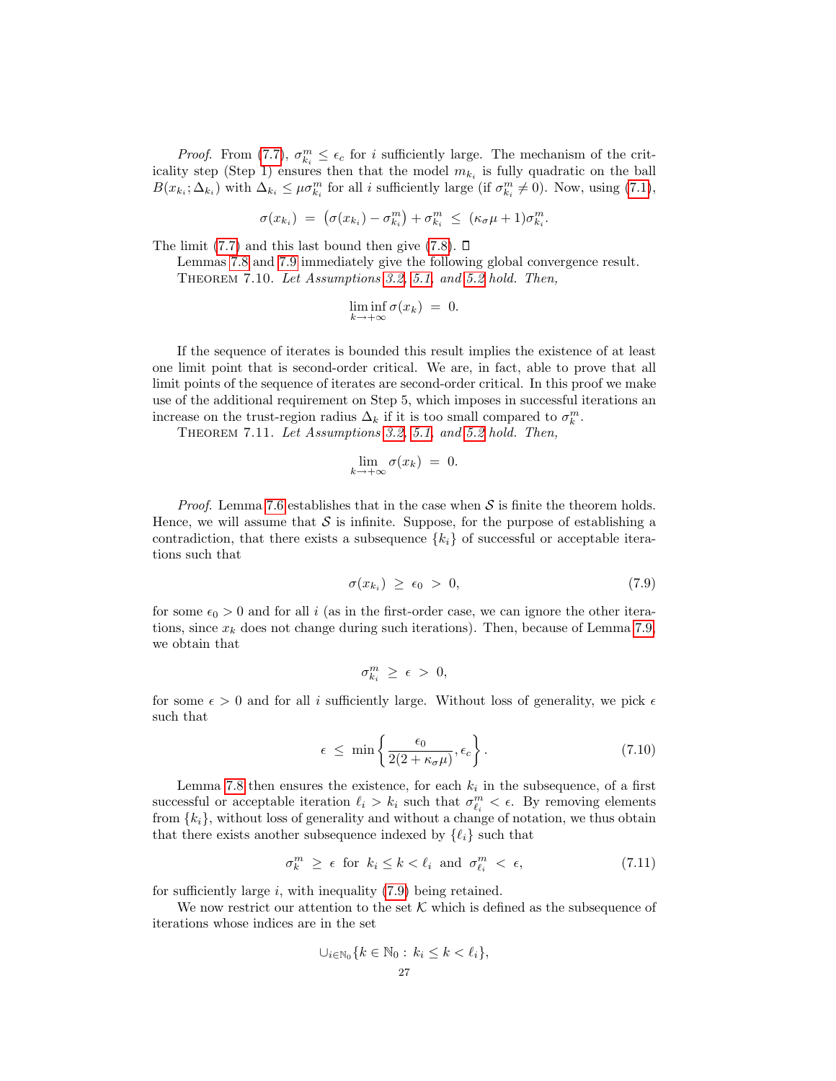*Proof.* From [\(7.7\)](#page-25-2),  $\sigma_{k_i}^m \leq \epsilon_c$  for i sufficiently large. The mechanism of the criticality step (Step 1) ensures then that the model  $m_{k_i}$  is fully quadratic on the ball  $B(x_{k_i}; \Delta_{k_i})$  with  $\Delta_{k_i} \leq \mu \sigma_{k_i}^m$  for all i sufficiently large (if  $\sigma_{k_i}^m \neq 0$ ). Now, using [\(7.1\)](#page-23-3),

$$
\sigma(x_{k_i}) = (\sigma(x_{k_i}) - \sigma_{k_i}^m) + \sigma_{k_i}^m \leq (\kappa_{\sigma}\mu + 1)\sigma_{k_i}^m.
$$

The limit  $(7.7)$  and this last bound then give  $(7.8)$ .  $\Box$ 

Lemmas [7.8](#page-25-4) and [7.9](#page-25-5) immediately give the following global convergence result.

Theorem 7.10. Let Assumptions [3.2,](#page-8-1) [5.1,](#page-15-0) and [5.2](#page-15-3) hold. Then,

$$
\liminf_{k \to +\infty} \sigma(x_k) = 0.
$$

If the sequence of iterates is bounded this result implies the existence of at least one limit point that is second-order critical. We are, in fact, able to prove that all limit points of the sequence of iterates are second-order critical. In this proof we make use of the additional requirement on Step 5, which imposes in successful iterations an increase on the trust-region radius  $\Delta_k$  if it is too small compared to  $\sigma_k^m$ .

Theorem 7.11. Let Assumptions [3.2,](#page-8-1) [5.1,](#page-15-0) and [5.2](#page-15-3) hold. Then,

$$
\lim_{k \to +\infty} \sigma(x_k) = 0.
$$

<span id="page-26-0"></span>*Proof.* Lemma [7.6](#page-24-3) establishes that in the case when  $S$  is finite the theorem holds. Hence, we will assume that  $\mathcal S$  is infinite. Suppose, for the purpose of establishing a contradiction, that there exists a subsequence  $\{k_i\}$  of successful or acceptable iterations such that

$$
\sigma(x_{k_i}) \geq \epsilon_0 > 0, \tag{7.9}
$$

for some  $\epsilon_0 > 0$  and for all i (as in the first-order case, we can ignore the other iterations, since  $x_k$  does not change during such iterations). Then, because of Lemma [7.9,](#page-25-5) we obtain that

$$
\sigma_{k_i}^m \ \geq \ \epsilon \ > \ 0,
$$

<span id="page-26-2"></span>for some  $\epsilon > 0$  and for all i sufficiently large. Without loss of generality, we pick  $\epsilon$ such that

<span id="page-26-1"></span>
$$
\epsilon \leq \min\left\{\frac{\epsilon_0}{2(2 + \kappa_{\sigma}\mu)}, \epsilon_c\right\}.
$$
\n(7.10)

Lemma [7.8](#page-25-4) then ensures the existence, for each  $k_i$  in the subsequence, of a first successful or acceptable iteration  $\ell_i > k_i$  such that  $\sigma_{\ell_i}^m < \epsilon$ . By removing elements from  $\{k_i\}$ , without loss of generality and without a change of notation, we thus obtain that there exists another subsequence indexed by  $\{\ell_i\}$  such that

$$
\sigma_k^m \ge \epsilon \text{ for } k_i \le k < \ell_i \text{ and } \sigma_{\ell_i}^m < \epsilon,\tag{7.11}
$$

for sufficiently large  $i$ , with inequality  $(7.9)$  being retained.

We now restrict our attention to the set  $K$  which is defined as the subsequence of iterations whose indices are in the set

$$
\bigcup_{i \in \mathbb{N}_0} \{k \in \mathbb{N}_0 : k_i \le k < \ell_i\},\
$$
27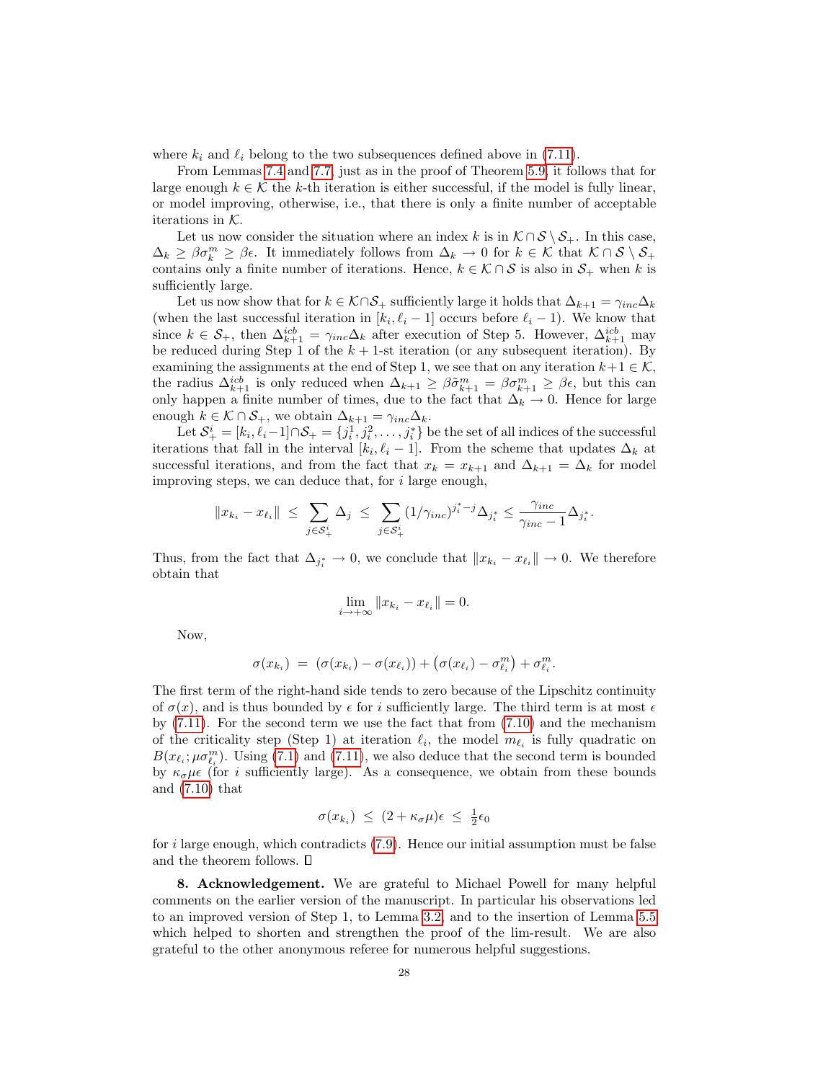where  $k_i$  and  $\ell_i$  belong to the two subsequences defined above in [\(7.11\)](#page-26-1).

From Lemmas [7.4](#page-23-1) and [7.7,](#page-24-2) just as in the proof of Theorem [5.9,](#page-18-3) it follows that for large enough  $k \in \mathcal{K}$  the k-th iteration is either successful, if the model is fully linear, or model improving, otherwise, i.e., that there is only a finite number of acceptable iterations in K.

Let us now consider the situation where an index k is in  $K \cap S \setminus S_{+}$ . In this case,  $\Delta_k \geq \beta \sigma_k^m \geq \beta \epsilon$ . It immediately follows from  $\Delta_k \to 0$  for  $k \in \mathcal{K}$  that  $\mathcal{K} \cap \mathcal{S} \setminus \mathcal{S}_+$ contains only a finite number of iterations. Hence,  $k \in \mathcal{K} \cap \mathcal{S}$  is also in  $\mathcal{S}_+$  when k is sufficiently large.

Let us now show that for  $k \in \mathcal{K} \cap \mathcal{S}_+$  sufficiently large it holds that  $\Delta_{k+1} = \gamma_{inc} \Delta_k$ (when the last successful iteration in  $[k_i, \ell_i - 1]$  occurs before  $\ell_i - 1$ ). We know that since  $k \in S_+$ , then  $\Delta_{k+1}^{icb} = \gamma_{inc} \Delta_k$  after execution of Step 5. However,  $\Delta_{k+1}^{icb}$  may be reduced during Step 1 of the  $k + 1$ -st iteration (or any subsequent iteration). By examining the assignments at the end of Step 1, we see that on any iteration  $k+1 \in \mathcal{K}$ , the radius  $\Delta_{k+1}^{icb}$  is only reduced when  $\Delta_{k+1} \geq \beta \tilde{\sigma}_{k+1}^m = \beta \sigma_{k+1}^m \geq \beta \epsilon$ , but this can only happen a finite number of times, due to the fact that  $\Delta_k \to 0$ . Hence for large enough  $k \in \mathcal{K} \cap \mathcal{S}_+$ , we obtain  $\Delta_{k+1} = \gamma_{inc} \Delta_k$ .

Let  $S^i_+ = [k_i, \ell_i-1] \cap S_+ = \{j^1_i, j^2_i, \ldots, j^*_i\}$  be the set of all indices of the successful iterations that fall in the interval  $[k_i, \ell_i - 1]$ . From the scheme that updates  $\Delta_k$  at successful iterations, and from the fact that  $x_k = x_{k+1}$  and  $\Delta_{k+1} = \Delta_k$  for model improving steps, we can deduce that, for  $i$  large enough,

$$
||x_{k_i}-x_{\ell_i}|| \leq \sum_{j \in \mathcal{S}_{+}^{i}} \Delta_j \leq \sum_{j \in \mathcal{S}_{+}^{i}} (1/\gamma_{inc})^{j_i^* - j} \Delta_{j_i^*} \leq \frac{\gamma_{inc}}{\gamma_{inc} - 1} \Delta_{j_i^*}.
$$

Thus, from the fact that  $\Delta_{j_i^*} \to 0$ , we conclude that  $||x_{k_i} - x_{\ell_i}|| \to 0$ . We therefore obtain that

$$
\lim_{i \to +\infty} \|x_{k_i} - x_{\ell_i}\| = 0.
$$

Now,

$$
\sigma(x_{k_i}) = (\sigma(x_{k_i}) - \sigma(x_{\ell_i})) + (\sigma(x_{\ell_i}) - \sigma_{\ell_i}^m) + \sigma_{\ell_i}^m.
$$

The first term of the right-hand side tends to zero because of the Lipschitz continuity of  $\sigma(x)$ , and is thus bounded by  $\epsilon$  for i sufficiently large. The third term is at most  $\epsilon$ by [\(7.11\)](#page-26-1). For the second term we use the fact that from [\(7.10\)](#page-26-2) and the mechanism of the criticality step (Step 1) at iteration  $\ell_i$ , the model  $m_{\ell_i}$  is fully quadratic on  $B(x_{\ell_i}; \mu \sigma_{\ell_i}^m)$ . Using [\(7.1\)](#page-23-3) and [\(7.11\)](#page-26-1), we also deduce that the second term is bounded by  $\kappa_{\sigma}\mu\epsilon$  (for *i* sufficiently large). As a consequence, we obtain from these bounds and [\(7.10\)](#page-26-2) that

$$
\sigma(x_{k_i}) \leq (2 + \kappa_{\sigma}\mu)\epsilon \leq \frac{1}{2}\epsilon_0
$$

for  $i$  large enough, which contradicts  $(7.9)$ . Hence our initial assumption must be false and the theorem follows.  $\square$ 

8. Acknowledgement. We are grateful to Michael Powell for many helpful comments on the earlier version of the manuscript. In particular his observations led to an improved version of Step 1, to Lemma [3.2,](#page-7-0) and to the insertion of Lemma [5.5](#page-17-0) which helped to shorten and strengthen the proof of the lim-result. We are also grateful to the other anonymous referee for numerous helpful suggestions.